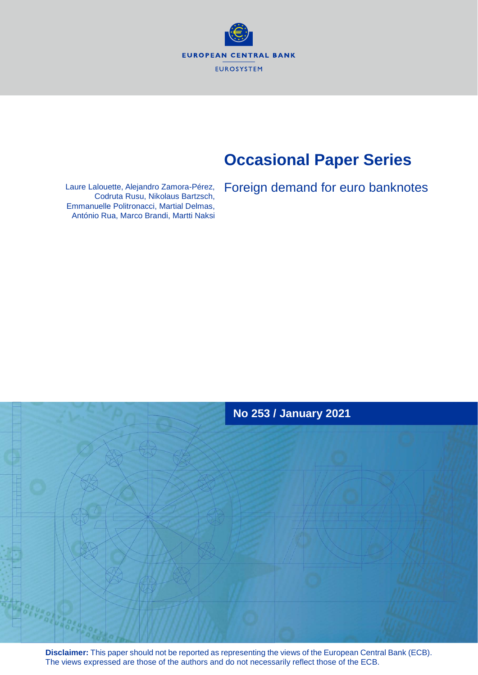**EUROPEAN CENTRAL BANK EUROSYSTEM** 

## **Occasional Paper Series**

Laure Lalouette, Alejandro Zamora-Pérez, Foreign demand for euro banknotes<br>Codruta Rusu, Nikolaus Bartzsch, Emmanuelle Politronacci, Martial Delmas, António Rua, Marco Brandi, Martti Naksi



**Disclaimer:** This paper should not be reported as representing the views of the European Central Bank (ECB). The views expressed are those of the authors and do not necessarily reflect those of the ECB.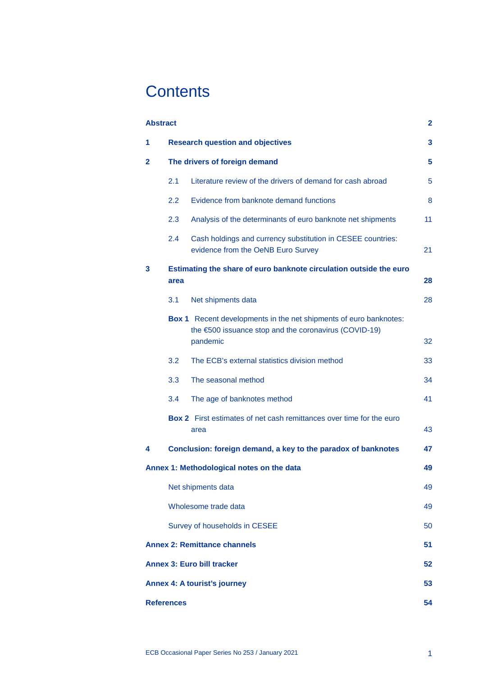## **Contents**

| <b>Abstract</b><br>$\mathbf{2}$                 |                                         |                                                                                                                                               |    |  |  |  |
|-------------------------------------------------|-----------------------------------------|-----------------------------------------------------------------------------------------------------------------------------------------------|----|--|--|--|
| 1                                               | <b>Research question and objectives</b> |                                                                                                                                               |    |  |  |  |
| $\mathbf{2}$                                    | The drivers of foreign demand           |                                                                                                                                               |    |  |  |  |
|                                                 | 2.1                                     | Literature review of the drivers of demand for cash abroad                                                                                    | 5  |  |  |  |
|                                                 | 2.2                                     | Evidence from banknote demand functions                                                                                                       | 8  |  |  |  |
|                                                 | 2.3                                     | Analysis of the determinants of euro banknote net shipments                                                                                   | 11 |  |  |  |
|                                                 | 2.4                                     | Cash holdings and currency substitution in CESEE countries:<br>evidence from the OeNB Euro Survey                                             | 21 |  |  |  |
| 3                                               | area                                    | Estimating the share of euro banknote circulation outside the euro                                                                            | 28 |  |  |  |
|                                                 | 3.1                                     | Net shipments data                                                                                                                            | 28 |  |  |  |
|                                                 |                                         | <b>Box 1</b> Recent developments in the net shipments of euro banknotes:<br>the €500 issuance stop and the coronavirus (COVID-19)<br>pandemic | 32 |  |  |  |
|                                                 | 3.2                                     | The ECB's external statistics division method                                                                                                 | 33 |  |  |  |
|                                                 | 3.3                                     | The seasonal method                                                                                                                           | 34 |  |  |  |
|                                                 | 3.4                                     | The age of banknotes method                                                                                                                   | 41 |  |  |  |
|                                                 |                                         | <b>Box 2</b> First estimates of net cash remittances over time for the euro<br>area                                                           | 43 |  |  |  |
| 4                                               |                                         | Conclusion: foreign demand, a key to the paradox of banknotes                                                                                 | 47 |  |  |  |
| Annex 1: Methodological notes on the data<br>49 |                                         |                                                                                                                                               |    |  |  |  |
|                                                 | Net shipments data                      |                                                                                                                                               |    |  |  |  |
|                                                 | Wholesome trade data                    |                                                                                                                                               |    |  |  |  |
|                                                 | Survey of households in CESEE           |                                                                                                                                               |    |  |  |  |
| <b>Annex 2: Remittance channels</b><br>51       |                                         |                                                                                                                                               |    |  |  |  |
| <b>Annex 3: Euro bill tracker</b><br>52         |                                         |                                                                                                                                               |    |  |  |  |
| 53<br><b>Annex 4: A tourist's journey</b>       |                                         |                                                                                                                                               |    |  |  |  |
| <b>References</b><br>54                         |                                         |                                                                                                                                               |    |  |  |  |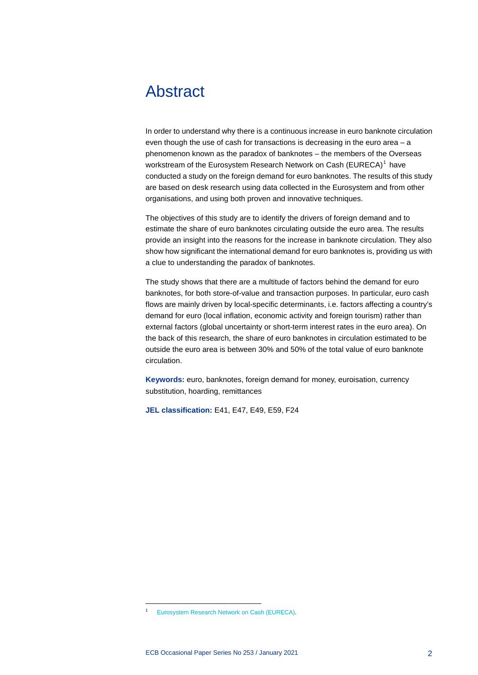## <span id="page-2-0"></span>Abstract

In order to understand why there is a continuous increase in euro banknote circulation even though the use of cash for transactions is decreasing in the euro area – a phenomenon known as the paradox of banknotes – the members of the Overseas workstream of the Eurosystem Research Network on Cash (EURECA) [1](#page-2-1) have conducted a study on the foreign demand for euro banknotes. The results of this study are based on desk research using data collected in the Eurosystem and from other organisations, and using both proven and innovative techniques.

The objectives of this study are to identify the drivers of foreign demand and to estimate the share of euro banknotes circulating outside the euro area. The results provide an insight into the reasons for the increase in banknote circulation. They also show how significant the international demand for euro banknotes is, providing us with a clue to understanding the paradox of banknotes.

The study shows that there are a multitude of factors behind the demand for euro banknotes, for both store-of-value and transaction purposes. In particular, euro cash flows are mainly driven by local-specific determinants, i.e. factors affecting a country's demand for euro (local inflation, economic activity and foreign tourism) rather than external factors (global uncertainty or short-term interest rates in the euro area). On the back of this research, the share of euro banknotes in circulation estimated to be outside the euro area is between 30% and 50% of the total value of euro banknote circulation.

**Keywords:** euro, banknotes, foreign demand for money, euroisation, currency substitution, hoarding, remittances

**JEL classification:** E41, E47, E49, E59, F24

<span id="page-2-1"></span>[Eurosystem Research Network on Cash \(EURECA\).](https://www.ecb.europa.eu/pub/economic-research/research-networks/html/researcher_eureca.en.html)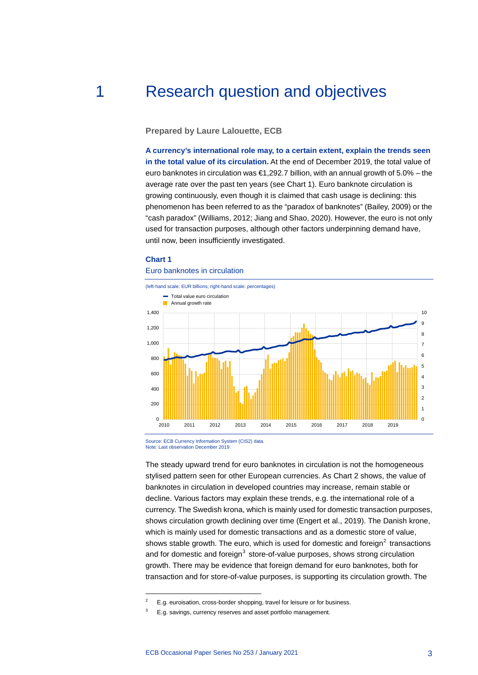## 1 Research question and objectives

<span id="page-3-0"></span>**Prepared by Laure Lalouette, ECB**

**A currency's international role may, to a certain extent, explain the trends seen in the total value of its circulation.** At the end of December 2019, the total value of euro banknotes in circulation was  $\epsilon$ 1,292.7 billion, with an annual growth of 5.0% – the average rate over the past ten years (see Chart 1). Euro banknote circulation is growing continuously, even though it is claimed that cash usage is declining: this phenomenon has been referred to as the "paradox of banknotes" (Bailey, 2009) or the "cash paradox" (Williams, 2012; Jiang and Shao, 2020). However, the euro is not only used for transaction purposes, although other factors underpinning demand have, until now, been insufficiently investigated.

### **Chart 1**

-

### Euro banknotes in circulation



Source: ECB Currency Information System (CIS2) data. Note: Last observation December 2019.

The steady upward trend for euro banknotes in circulation is not the homogeneous stylised pattern seen for other European currencies. As Chart 2 shows, the value of banknotes in circulation in developed countries may increase, remain stable or decline. Various factors may explain these trends, e.g. the international role of a currency. The Swedish krona, which is mainly used for domestic transaction purposes, shows circulation growth declining over time (Engert et al., 2019). The Danish krone, which is mainly used for domestic transactions and as a domestic store of value, shows stable growth. The euro, which is used for domestic and foreign $^2$  $^2$  transactions and for domestic and foreign $3$  store-of-value purposes, shows strong circulation growth. There may be evidence that foreign demand for euro banknotes, both for transaction and for store-of-value purposes, is supporting its circulation growth. The

E.g. euroisation, cross-border shopping, travel for leisure or for business.

<span id="page-3-2"></span><span id="page-3-1"></span>E.g. savings, currency reserves and asset portfolio management.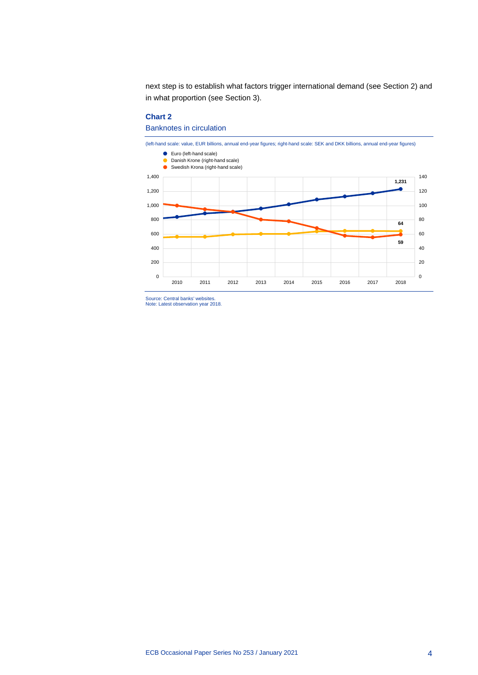next step is to establish what factors trigger international demand (see Section 2) and in what proportion (see Section 3).

### **Chart 2**

Banknotes in circulation



Source: Central banks' websites. Note: Latest observation year 2018.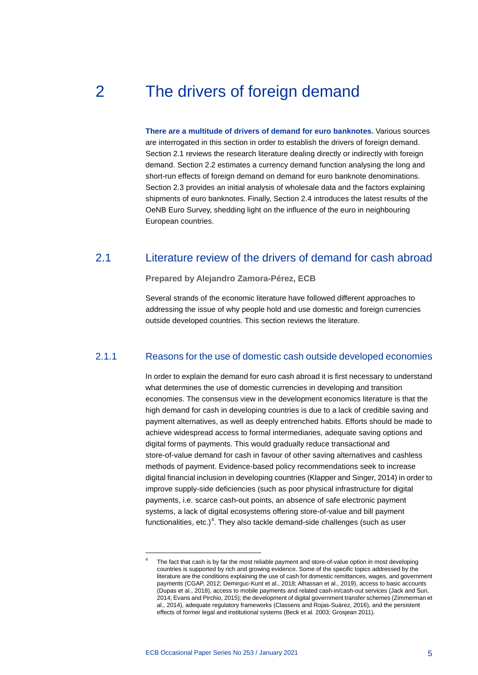## 2 The drivers of foreign demand

<span id="page-5-0"></span>**There are a multitude of drivers of demand for euro banknotes.** Various sources are interrogated in this section in order to establish the drivers of foreign demand. Section 2.1 reviews the research literature dealing directly or indirectly with foreign demand. Section 2.2 estimates a currency demand function analysing the long and short-run effects of foreign demand on demand for euro banknote denominations. Section 2.3 provides an initial analysis of wholesale data and the factors explaining shipments of euro banknotes. Finally, Section 2.4 introduces the latest results of the OeNB Euro Survey, shedding light on the influence of the euro in neighbouring European countries.

### 2.1 Literature review of the drivers of demand for cash abroad

<span id="page-5-1"></span>**Prepared by Alejandro Zamora-Pérez, ECB**

Several strands of the economic literature have followed different approaches to addressing the issue of why people hold and use domestic and foreign currencies outside developed countries. This section reviews the literature.

### 2.1.1 Reasons for the use of domestic cash outside developed economies

In order to explain the demand for euro cash abroad it is first necessary to understand what determines the use of domestic currencies in developing and transition economies. The consensus view in the development economics literature is that the high demand for cash in developing countries is due to a lack of credible saving and payment alternatives, as well as deeply entrenched habits. Efforts should be made to achieve widespread access to formal intermediaries, adequate saving options and digital forms of payments. This would gradually reduce transactional and store-of-value demand for cash in favour of other saving alternatives and cashless methods of payment. Evidence-based policy recommendations seek to increase digital financial inclusion in developing countries (Klapper and Singer, 2014) in order to improve supply-side deficiencies (such as poor physical infrastructure for digital payments, i.e. scarce cash-out points, an absence of safe electronic payment systems, a lack of digital ecosystems offering store-of-value and bill payment functionalities, etc.)<sup>[4](#page-5-2)</sup>. They also tackle demand-side challenges (such as user

<span id="page-5-2"></span>The fact that cash is by far the most reliable payment and store-of-value option in most developing countries is supported by rich and growing evidence. Some of the specific topics addressed by the literature are the conditions explaining the use of cash for domestic remittances, wages, and government payments (CGAP, 2012; Demirguc-Kunt et al., 2018; Alhassan et al., 2019), access to basic accounts (Dupas et al., 2018), access to mobile payments and related cash-in/cash-out services (Jack and Suri, 2014; Evans and Pirchio, 2015); the development of digital government transfer schemes (Zimmerman et al., 2014), adequate regulatory frameworks (Classens and Rojas-Suárez, 2016), and the persistent effects of former legal and institutional systems (Beck et al. 2003; Grosjean 2011).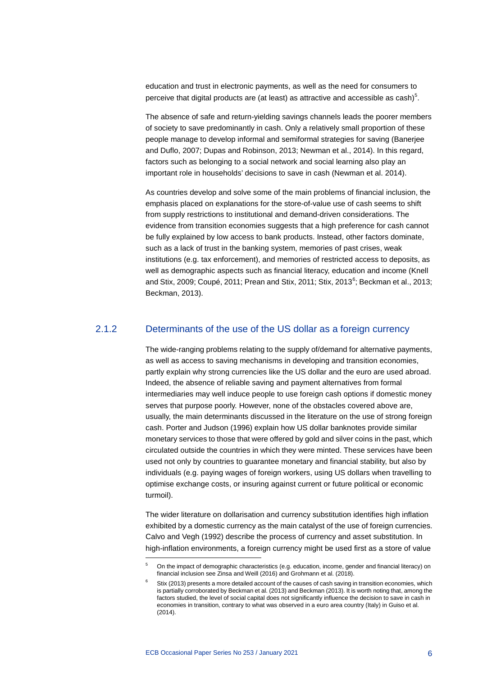education and trust in electronic payments, as well as the need for consumers to perceive that digital products are (at least) as attractive and accessible as  $\mathsf{cash})^5$  $\mathsf{cash})^5$ .

The absence of safe and return-yielding savings channels leads the poorer members of society to save predominantly in cash. Only a relatively small proportion of these people manage to develop informal and semiformal strategies for saving (Banerjee and Duflo, 2007; Dupas and Robinson, 2013; Newman et al., 2014). In this regard, factors such as belonging to a social network and social learning also play an important role in households' decisions to save in cash (Newman et al. 2014).

As countries develop and solve some of the main problems of financial inclusion, the emphasis placed on explanations for the store-of-value use of cash seems to shift from supply restrictions to institutional and demand-driven considerations. The evidence from transition economies suggests that a high preference for cash cannot be fully explained by low access to bank products. Instead, other factors dominate, such as a lack of trust in the banking system, memories of past crises, weak institutions (e.g. tax enforcement), and memories of restricted access to deposits, as well as demographic aspects such as financial literacy, education and income (Knell and Stix, 2009; Coupé, 2011; Prean and Stix, 2011; Stix, 2013<sup>[6](#page-6-1)</sup>; Beckman et al., 2013; Beckman, 2013).

### 2.1.2 Determinants of the use of the US dollar as a foreign currency

The wide-ranging problems relating to the supply of/demand for alternative payments, as well as access to saving mechanisms in developing and transition economies, partly explain why strong currencies like the US dollar and the euro are used abroad. Indeed, the absence of reliable saving and payment alternatives from formal intermediaries may well induce people to use foreign cash options if domestic money serves that purpose poorly. However, none of the obstacles covered above are, usually, the main determinants discussed in the literature on the use of strong foreign cash. Porter and Judson (1996) explain how US dollar banknotes provide similar monetary services to those that were offered by gold and silver coins in the past, which circulated outside the countries in which they were minted. These services have been used not only by countries to guarantee monetary and financial stability, but also by individuals (e.g. paying wages of foreign workers, using US dollars when travelling to optimise exchange costs, or insuring against current or future political or economic turmoil).

The wider literature on dollarisation and currency substitution identifies high inflation exhibited by a domestic currency as the main catalyst of the use of foreign currencies. Calvo and Vegh (1992) describe the process of currency and asset substitution. In high-inflation environments, a foreign currency might be used first as a store of value

<span id="page-6-0"></span><sup>5</sup> On the impact of demographic characteristics (e.g. education, income, gender and financial literacy) on financial inclusion see Zinsa and Weill (2016) and Grohmann et al. (2018).

<span id="page-6-1"></span>Stix (2013) presents a more detailed account of the causes of cash saving in transition economies, which is partially corroborated by Beckman et al. (2013) and Beckman (2013). It is worth noting that, among the factors studied, the level of social capital does not significantly influence the decision to save in cash in economies in transition, contrary to what was observed in a euro area country (Italy) in Guiso et al. (2014).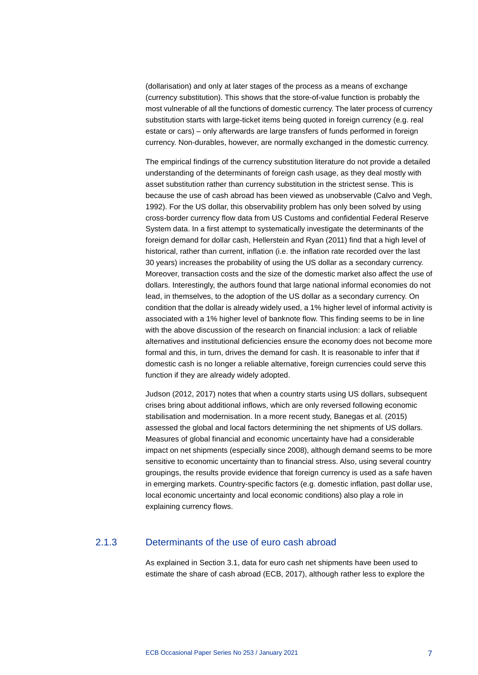(dollarisation) and only at later stages of the process as a means of exchange (currency substitution). This shows that the store-of-value function is probably the most vulnerable of all the functions of domestic currency. The later process of currency substitution starts with large-ticket items being quoted in foreign currency (e.g. real estate or cars) – only afterwards are large transfers of funds performed in foreign currency. Non-durables, however, are normally exchanged in the domestic currency.

The empirical findings of the currency substitution literature do not provide a detailed understanding of the determinants of foreign cash usage, as they deal mostly with asset substitution rather than currency substitution in the strictest sense. This is because the use of cash abroad has been viewed as unobservable (Calvo and Vegh, 1992). For the US dollar, this observability problem has only been solved by using cross-border currency flow data from US Customs and confidential Federal Reserve System data. In a first attempt to systematically investigate the determinants of the foreign demand for dollar cash, Hellerstein and Ryan (2011) find that a high level of historical, rather than current, inflation (i.e. the inflation rate recorded over the last 30 years) increases the probability of using the US dollar as a secondary currency. Moreover, transaction costs and the size of the domestic market also affect the use of dollars. Interestingly, the authors found that large national informal economies do not lead, in themselves, to the adoption of the US dollar as a secondary currency. On condition that the dollar is already widely used, a 1% higher level of informal activity is associated with a 1% higher level of banknote flow. This finding seems to be in line with the above discussion of the research on financial inclusion: a lack of reliable alternatives and institutional deficiencies ensure the economy does not become more formal and this, in turn, drives the demand for cash. It is reasonable to infer that if domestic cash is no longer a reliable alternative, foreign currencies could serve this function if they are already widely adopted.

Judson (2012, 2017) notes that when a country starts using US dollars, subsequent crises bring about additional inflows, which are only reversed following economic stabilisation and modernisation. In a more recent study, Banegas et al. (2015) assessed the global and local factors determining the net shipments of US dollars. Measures of global financial and economic uncertainty have had a considerable impact on net shipments (especially since 2008), although demand seems to be more sensitive to economic uncertainty than to financial stress. Also, using several country groupings, the results provide evidence that foreign currency is used as a safe haven in emerging markets. Country-specific factors (e.g. domestic inflation, past dollar use, local economic uncertainty and local economic conditions) also play a role in explaining currency flows.

### 2.1.3 Determinants of the use of euro cash abroad

As explained in Section 3.1, data for euro cash net shipments have been used to estimate the share of cash abroad (ECB, 2017), although rather less to explore the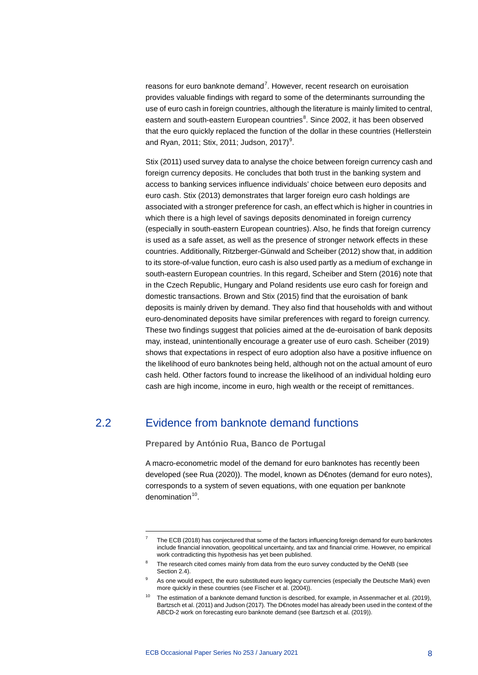reasons for euro banknote demand<sup>[7](#page-8-1)</sup>. However, recent research on euroisation provides valuable findings with regard to some of the determinants surrounding the use of euro cash in foreign countries, although the literature is mainly limited to central, eastern and south-eastern European countries<sup>[8](#page-8-2)</sup>. Since 2002, it has been observed that the euro quickly replaced the function of the dollar in these countries (Hellerstein and Ryan, 2011; Stix, 2011; Judson, 2017) $^9$  $^9$ .

Stix (2011) used survey data to analyse the choice between foreign currency cash and foreign currency deposits. He concludes that both trust in the banking system and access to banking services influence individuals' choice between euro deposits and euro cash. Stix (2013) demonstrates that larger foreign euro cash holdings are associated with a stronger preference for cash, an effect which is higher in countries in which there is a high level of savings deposits denominated in foreign currency (especially in south-eastern European countries). Also, he finds that foreign currency is used as a safe asset, as well as the presence of stronger network effects in these countries. Additionally, Ritzberger-Günwald and Scheiber (2012) show that, in addition to its store-of-value function, euro cash is also used partly as a medium of exchange in south-eastern European countries. In this regard, Scheiber and Stern (2016) note that in the Czech Republic, Hungary and Poland residents use euro cash for foreign and domestic transactions. Brown and Stix (2015) find that the euroisation of bank deposits is mainly driven by demand. They also find that households with and without euro-denominated deposits have similar preferences with regard to foreign currency. These two findings suggest that policies aimed at the de-euroisation of bank deposits may, instead, unintentionally encourage a greater use of euro cash. Scheiber (2019) shows that expectations in respect of euro adoption also have a positive influence on the likelihood of euro banknotes being held, although not on the actual amount of euro cash held. Other factors found to increase the likelihood of an individual holding euro cash are high income, income in euro, high wealth or the receipt of remittances.

### 2.2 Evidence from banknote demand functions

<span id="page-8-0"></span>**Prepared by António Rua, Banco de Portugal**

A macro-econometric model of the demand for euro banknotes has recently been developed (see Rua (2020)). The model, known as D€notes (demand for euro notes), corresponds to a system of seven equations, with one equation per banknote denomination $10$ .

<span id="page-8-1"></span><sup>7</sup> The ECB (2018) has conjectured that some of the factors influencing foreign demand for euro banknotes include financial innovation, geopolitical uncertainty, and tax and financial crime. However, no empirical work contradicting this hypothesis has yet been published.

<span id="page-8-2"></span>The research cited comes mainly from data from the euro survey conducted by the OeNB (see Section 2.4).

As one would expect, the euro substituted euro legacy currencies (especially the Deutsche Mark) even more quickly in these countries (see Fischer et al. (2004)).

<span id="page-8-4"></span><span id="page-8-3"></span> $10$  The estimation of a banknote demand function is described, for example, in Assenmacher et al. (2019), Bartzsch et al. (2011) and Judson (2017). The D€notes model has already been used in the context of the ABCD-2 work on forecasting euro banknote demand (see Bartzsch et al. (2019)).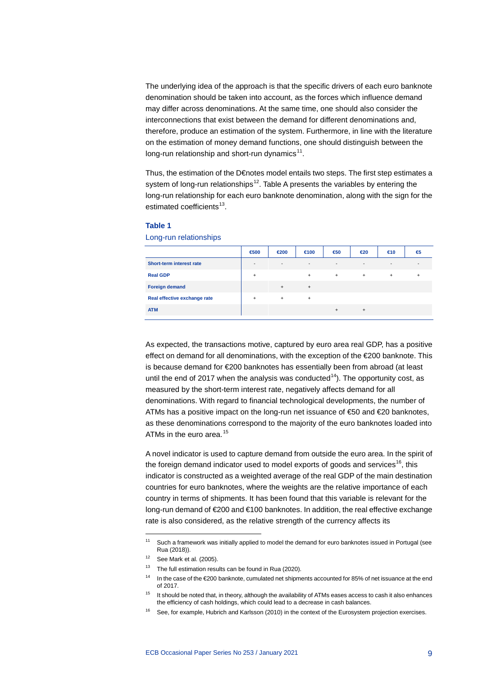The underlying idea of the approach is that the specific drivers of each euro banknote denomination should be taken into account, as the forces which influence demand may differ across denominations. At the same time, one should also consider the interconnections that exist between the demand for different denominations and, therefore, produce an estimation of the system. Furthermore, in line with the literature on the estimation of money demand functions, one should distinguish between the long-run relationship and short-run dynamics $11$ .

Thus, the estimation of the D€notes model entails two steps. The first step estimates a system of long-run relationships<sup>12</sup>. Table A presents the variables by entering the long-run relationship for each euro banknote denomination, along with the sign for the estimated coefficients $13$ .

|                              | €500                     | €200                     | $f$ 00                   | $\epsilon$ 50            | €20                      | $\epsilon$ 10 | €         |
|------------------------------|--------------------------|--------------------------|--------------------------|--------------------------|--------------------------|---------------|-----------|
| Short-term interest rate     | $\overline{\phantom{a}}$ | $\overline{\phantom{a}}$ | $\overline{\phantom{a}}$ | $\overline{\phantom{a}}$ | $\overline{\phantom{a}}$ |               |           |
| <b>Real GDP</b>              | $\ddot{}$                |                          | $\ddot{}$                | $^{+}$                   | $^{+}$                   | $^{+}$        | $\ddot{}$ |
| <b>Foreign demand</b>        |                          | $\ddot{}$                | $^{+}$                   |                          |                          |               |           |
| Real effective exchange rate | $\ddot{}$                | $+$                      | $\ddot{}$                |                          |                          |               |           |
| <b>ATM</b>                   |                          |                          |                          | $\ddot{}$                | $\ddot{}$                |               |           |

### **Table 1**

Long-run relationships

As expected, the transactions motive, captured by euro area real GDP, has a positive effect on demand for all denominations, with the exception of the €200 banknote. This is because demand for €200 banknotes has essentially been from abroad (at least until the end of 2017 when the analysis was conducted<sup>14</sup>). The opportunity cost, as measured by the short-term interest rate, negatively affects demand for all denominations. With regard to financial technological developments, the number of ATMs has a positive impact on the long-run net issuance of €50 and €20 banknotes, as these denominations correspond to the majority of the euro banknotes loaded into ATMs in the euro area.<sup>[15](#page-9-4)</sup>

A novel indicator is used to capture demand from outside the euro area. In the spirit of the foreign demand indicator used to model exports of goods and services<sup>[16](#page-9-5)</sup>, this indicator is constructed as a weighted average of the real GDP of the main destination countries for euro banknotes, where the weights are the relative importance of each country in terms of shipments. It has been found that this variable is relevant for the long-run demand of €200 and €100 banknotes. In addition, the real effective exchange rate is also considered, as the relative strength of the currency affects its

<span id="page-9-0"></span><sup>&</sup>lt;sup>11</sup> Such a framework was initially applied to model the demand for euro banknotes issued in Portugal (see Rua (2018)).

<span id="page-9-2"></span><span id="page-9-1"></span> $12$  See Mark et al. (2005).

 $13$  The full estimation results can be found in Rua (2020).

<span id="page-9-3"></span><sup>14</sup> In the case of the  $\epsilon$ 200 banknote, cumulated net shipments accounted for 85% of net issuance at the end of 2017.

 $15$  It should be noted that, in theory, although the availability of ATMs eases access to cash it also enhances the efficiency of cash holdings, which could lead to a decrease in cash balances.

<span id="page-9-5"></span><span id="page-9-4"></span><sup>&</sup>lt;sup>16</sup> See, for example, Hubrich and Karlsson (2010) in the context of the Eurosystem projection exercises.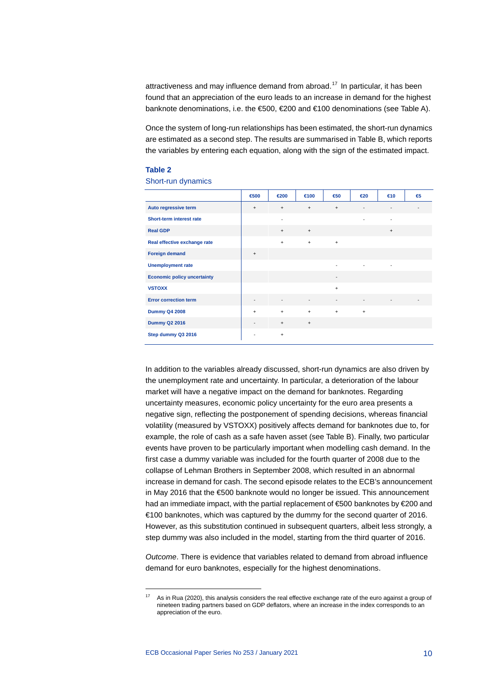attractiveness and may influence demand from abroad.<sup>[17](#page-10-0)</sup> In particular, it has been found that an appreciation of the euro leads to an increase in demand for the highest banknote denominations, i.e. the €500, €200 and €100 denominations (see Table A).

Once the system of long-run relationships has been estimated, the short-run dynamics are estimated as a second step. The results are summarised in Table B, which reports the variables by entering each equation, along with the sign of the estimated impact.

### **Table 2**

Short-run dynamics

|                                    | €500                             | €200                     | $100$                    | €50                      | $\epsilon$ 20            | $\epsilon$ 10 | € |
|------------------------------------|----------------------------------|--------------------------|--------------------------|--------------------------|--------------------------|---------------|---|
| Auto regressive term               | $\ddot{}$                        | $\ddot{}$                | $\ddot{}$                | $\ddot{}$                | $\overline{\phantom{a}}$ | -             |   |
| Short-term interest rate           |                                  | $\overline{a}$           |                          |                          |                          |               |   |
| <b>Real GDP</b>                    |                                  | $\ddot{}$                | $\ddot{}$                |                          |                          | $\ddot{}$     |   |
| Real effective exchange rate       |                                  | $\ddot{}$                | $\ddot{}$                | $+$                      |                          |               |   |
| <b>Foreign demand</b>              | $\begin{array}{c} + \end{array}$ |                          |                          |                          |                          |               |   |
| <b>Unemployment rate</b>           |                                  |                          |                          | ٠                        | ٠                        |               |   |
| <b>Economic policy uncertainty</b> |                                  |                          |                          | $\overline{a}$           |                          |               |   |
| <b>VSTOXX</b>                      |                                  |                          |                          | $\ddot{}$                |                          |               |   |
| <b>Error correction term</b>       | $\overline{\phantom{a}}$         | $\overline{\phantom{a}}$ | $\overline{\phantom{a}}$ | $\overline{\phantom{a}}$ | $\overline{\phantom{a}}$ | -             |   |
| <b>Dummy Q4 2008</b>               | $\ddot{}$                        | $\ddot{}$                | $\ddot{}$                | $\ddot{}$                | $\ddot{}$                |               |   |
| <b>Dummy Q2 2016</b>               | $\overline{\phantom{a}}$         | $\qquad \qquad +$        | $\pmb{+}$                |                          |                          |               |   |
| Step dummy Q3 2016                 | -                                | $\ddot{}$                |                          |                          |                          |               |   |

In addition to the variables already discussed, short-run dynamics are also driven by the unemployment rate and uncertainty. In particular, a deterioration of the labour market will have a negative impact on the demand for banknotes. Regarding uncertainty measures, economic policy uncertainty for the euro area presents a negative sign, reflecting the postponement of spending decisions, whereas financial volatility (measured by VSTOXX) positively affects demand for banknotes due to, for example, the role of cash as a safe haven asset (see Table B). Finally, two particular events have proven to be particularly important when modelling cash demand. In the first case a dummy variable was included for the fourth quarter of 2008 due to the collapse of Lehman Brothers in September 2008, which resulted in an abnormal increase in demand for cash. The second episode relates to the ECB's announcement in May 2016 that the €500 banknote would no longer be issued. This announcement had an immediate impact, with the partial replacement of €500 banknotes by €200 and €100 banknotes, which was captured by the dummy for the second quarter of 2016. However, as this substitution continued in subsequent quarters, albeit less strongly, a step dummy was also included in the model, starting from the third quarter of 2016.

*Outcome*. There is evidence that variables related to demand from abroad influence demand for euro banknotes, especially for the highest denominations.

<span id="page-10-0"></span>As in Rua (2020), this analysis considers the real effective exchange rate of the euro against a group of nineteen trading partners based on GDP deflators, where an increase in the index corresponds to an appreciation of the euro.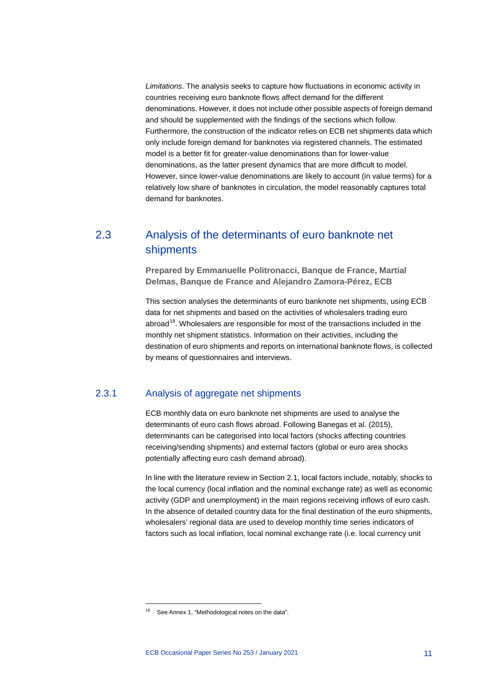*Limitations*. The analysis seeks to capture how fluctuations in economic activity in countries receiving euro banknote flows affect demand for the different denominations. However, it does not include other possible aspects of foreign demand and should be supplemented with the findings of the sections which follow. Furthermore, the construction of the indicator relies on ECB net shipments data which only include foreign demand for banknotes via registered channels. The estimated model is a better fit for greater-value denominations than for lower-value denominations, as the latter present dynamics that are more difficult to model. However, since lower-value denominations are likely to account (in value terms) for a relatively low share of banknotes in circulation, the model reasonably captures total demand for banknotes.

### <span id="page-11-0"></span>2.3 Analysis of the determinants of euro banknote net shipments

**Prepared by Emmanuelle Politronacci, Banque de France, Martial Delmas, Banque de France and Alejandro Zamora-Pérez, ECB**

This section analyses the determinants of euro banknote net shipments, using ECB data for net shipments and based on the activities of wholesalers trading euro abroad<sup>[18](#page-11-1)</sup>. Wholesalers are responsible for most of the transactions included in the monthly net shipment statistics. Information on their activities, including the destination of euro shipments and reports on international banknote flows, is collected by means of questionnaires and interviews.

### 2.3.1 Analysis of aggregate net shipments

ECB monthly data on euro banknote net shipments are used to analyse the determinants of euro cash flows abroad. Following Banegas et al. (2015), determinants can be categorised into local factors (shocks affecting countries receiving/sending shipments) and external factors (global or euro area shocks potentially affecting euro cash demand abroad).

In line with the literature review in Section 2.1, local factors include, notably, shocks to the local currency (local inflation and the nominal exchange rate) as well as economic activity (GDP and unemployment) in the main regions receiving inflows of euro cash. In the absence of detailed country data for the final destination of the euro shipments, wholesalers' regional data are used to develop monthly time series indicators of factors such as local inflation, local nominal exchange rate (i.e. local currency unit

<span id="page-11-1"></span><sup>&</sup>lt;sup>18</sup> See Annex 1, "Methodological notes on the data".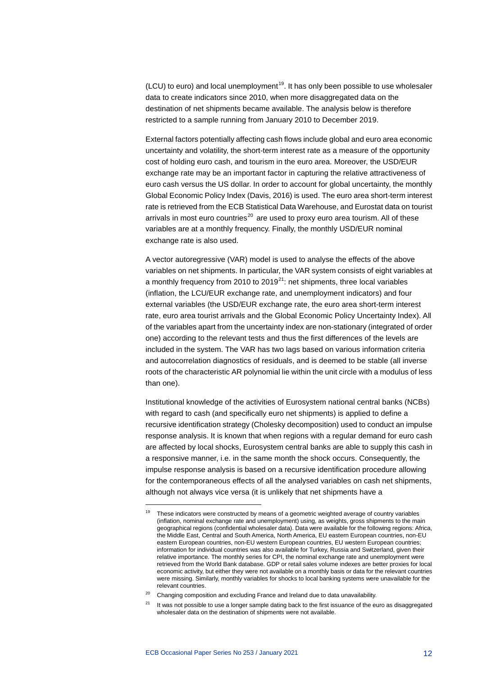$(LCU)$  to euro) and local unemployment<sup>19</sup>. It has only been possible to use wholesaler data to create indicators since 2010, when more disaggregated data on the destination of net shipments became available. The analysis below is therefore restricted to a sample running from January 2010 to December 2019.

External factors potentially affecting cash flows include global and euro area economic uncertainty and volatility, the short-term interest rate as a measure of the opportunity cost of holding euro cash, and tourism in the euro area. Moreover, the USD/EUR exchange rate may be an important factor in capturing the relative attractiveness of euro cash versus the US dollar. In order to account for global uncertainty, the monthly Global Economic Policy Index (Davis, 2016) is used. The euro area short-term interest rate is retrieved from the ECB Statistical Data Warehouse, and Eurostat data on tourist arrivals in most euro countries $^{20}$  $^{20}$  $^{20}$  are used to proxy euro area tourism. All of these variables are at a monthly frequency. Finally, the monthly USD/EUR nominal exchange rate is also used.

A vector autoregressive (VAR) model is used to analyse the effects of the above variables on net shipments. In particular, the VAR system consists of eight variables at a monthly frequency from 2010 to  $2019^{21}$ : net shipments, three local variables (inflation, the LCU/EUR exchange rate, and unemployment indicators) and four external variables (the USD/EUR exchange rate, the euro area short-term interest rate, euro area tourist arrivals and the Global Economic Policy Uncertainty Index). All of the variables apart from the uncertainty index are non-stationary (integrated of order one) according to the relevant tests and thus the first differences of the levels are included in the system. The VAR has two lags based on various information criteria and autocorrelation diagnostics of residuals, and is deemed to be stable (all inverse roots of the characteristic AR polynomial lie within the unit circle with a modulus of less than one).

Institutional knowledge of the activities of Eurosystem national central banks (NCBs) with regard to cash (and specifically euro net shipments) is applied to define a recursive identification strategy (Cholesky decomposition) used to conduct an impulse response analysis. It is known that when regions with a regular demand for euro cash are affected by local shocks, Eurosystem central banks are able to supply this cash in a responsive manner, i.e. in the same month the shock occurs. Consequently, the impulse response analysis is based on a recursive identification procedure allowing for the contemporaneous effects of all the analysed variables on cash net shipments, although not always vice versa (it is unlikely that net shipments have a

<span id="page-12-0"></span><sup>&</sup>lt;sup>19</sup> These indicators were constructed by means of a geometric weighted average of country variables (inflation, nominal exchange rate and unemployment) using, as weights, gross shipments to the main geographical regions (confidential wholesaler data). Data were available for the following regions: Africa, the Middle East, Central and South America, North America, EU eastern European countries, non-EU eastern European countries, non-EU western European countries, EU western European countries; information for individual countries was also available for Turkey. Russia and Switzerland, given their relative importance. The monthly series for CPI, the nominal exchange rate and unemployment were retrieved from the World Bank database. GDP or retail sales volume indexes are better proxies for local economic activity, but either they were not available on a monthly basis or data for the relevant countries were missing. Similarly, monthly variables for shocks to local banking systems were unavailable for the relevant countries.

<span id="page-12-2"></span><span id="page-12-1"></span> $20$  Changing composition and excluding France and Ireland due to data unavailability.

 $21$  It was not possible to use a longer sample dating back to the first issuance of the euro as disaggregated wholesaler data on the destination of shipments were not available.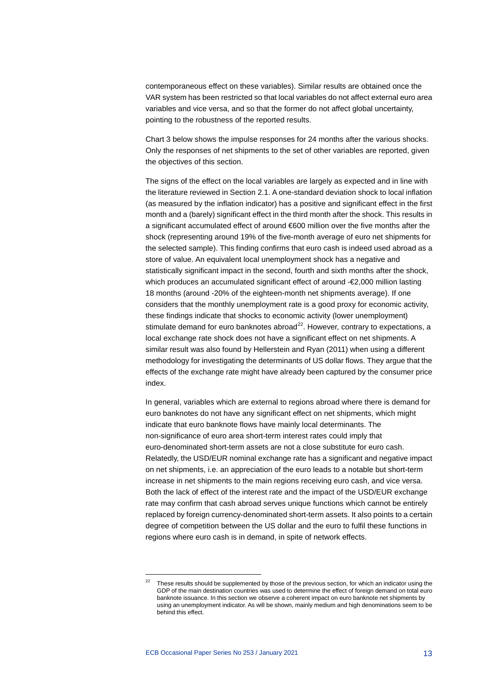contemporaneous effect on these variables). Similar results are obtained once the VAR system has been restricted so that local variables do not affect external euro area variables and vice versa, and so that the former do not affect global uncertainty, pointing to the robustness of the reported results.

Chart 3 below shows the impulse responses for 24 months after the various shocks. Only the responses of net shipments to the set of other variables are reported, given the objectives of this section.

The signs of the effect on the local variables are largely as expected and in line with the literature reviewed in Section 2.1. A one-standard deviation shock to local inflation (as measured by the inflation indicator) has a positive and significant effect in the first month and a (barely) significant effect in the third month after the shock. This results in a significant accumulated effect of around €600 million over the five months after the shock (representing around 19% of the five-month average of euro net shipments for the selected sample). This finding confirms that euro cash is indeed used abroad as a store of value. An equivalent local unemployment shock has a negative and statistically significant impact in the second, fourth and sixth months after the shock, which produces an accumulated significant effect of around - €2,000 million lasting 18 months (around -20% of the eighteen-month net shipments average). If one considers that the monthly unemployment rate is a good proxy for economic activity, these findings indicate that shocks to economic activity (lower unemployment) stimulate demand for euro banknotes abroad $^{22}$ . However, contrary to expectations, a local exchange rate shock does not have a significant effect on net shipments. A similar result was also found by Hellerstein and Ryan (2011) when using a different methodology for investigating the determinants of US dollar flows. They argue that the effects of the exchange rate might have already been captured by the consumer price index.

In general, variables which are external to regions abroad where there is demand for euro banknotes do not have any significant effect on net shipments, which might indicate that euro banknote flows have mainly local determinants. The non-significance of euro area short-term interest rates could imply that euro-denominated short-term assets are not a close substitute for euro cash. Relatedly, the USD/EUR nominal exchange rate has a significant and negative impact on net shipments, i.e. an appreciation of the euro leads to a notable but short-term increase in net shipments to the main regions receiving euro cash, and vice versa. Both the lack of effect of the interest rate and the impact of the USD/EUR exchange rate may confirm that cash abroad serves unique functions which cannot be entirely replaced by foreign currency-denominated short-term assets. It also points to a certain degree of competition between the US dollar and the euro to fulfil these functions in regions where euro cash is in demand, in spite of network effects.

<span id="page-13-0"></span><sup>&</sup>lt;sup>22</sup> These results should be supplemented by those of the previous section, for which an indicator using the GDP of the main destination countries was used to determine the effect of foreign demand on total euro banknote issuance. In this section we observe a coherent impact on euro banknote net shipments by using an unemployment indicator. As will be shown, mainly medium and high denominations seem to be behind this effect.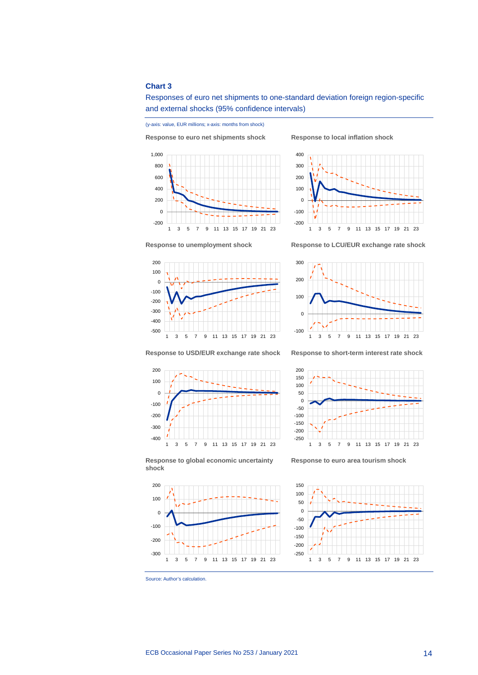### **Chart 3**



and external shocks (95% confidence intervals)

(y-axis: value, EUR millions; x-axis: months from shock)

**Response to euro net shipments shock Response to local inflation shock**

Responses of euro net shipments to one-standard deviation foreign region-specific





**Response to unemployment shock Response to LCU/EUR exchange rate shock**









**Response to global economic uncertainty shock**



**Response to euro area tourism shock**



Source: Author's calculation.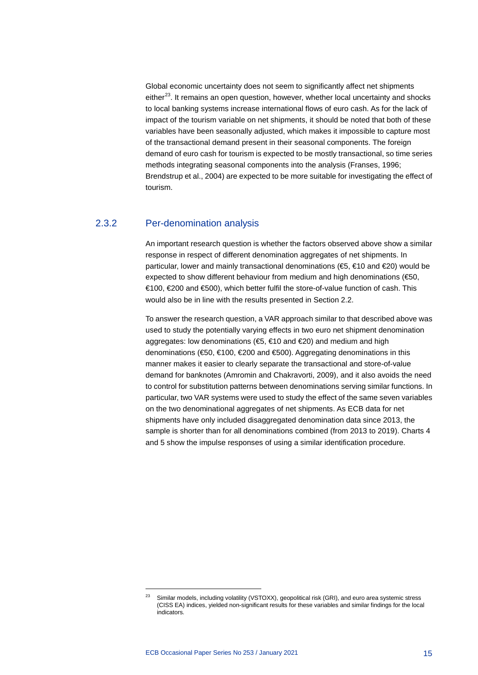Global economic uncertainty does not seem to significantly affect net shipments either $^{23}$  $^{23}$  $^{23}$ . It remains an open question, however, whether local uncertainty and shocks to local banking systems increase international flows of euro cash. As for the lack of impact of the tourism variable on net shipments, it should be noted that both of these variables have been seasonally adjusted, which makes it impossible to capture most of the transactional demand present in their seasonal components. The foreign demand of euro cash for tourism is expected to be mostly transactional, so time series methods integrating seasonal components into the analysis (Franses, 1996; Brendstrup et al., 2004) are expected to be more suitable for investigating the effect of tourism.

### 2.3.2 Per-denomination analysis

An important research question is whether the factors observed above show a similar response in respect of different denomination aggregates of net shipments. In particular, lower and mainly transactional denominations (€5, €10 and €20) would be expected to show different behaviour from medium and high denominations (€50, €100, €200 and €500), which better fulfil the store-of-value function of cash. This would also be in line with the results presented in Section 2.2.

To answer the research question, a VAR approach similar to that described above was used to study the potentially varying effects in two euro net shipment denomination aggregates: low denominations (€5, €10 and €20) and medium and high denominations (€50, €100, €200 and €500). Aggregating denominations in this manner makes it easier to clearly separate the transactional and store-of-value demand for banknotes (Amromin and Chakravorti, 2009), and it also avoids the need to control for substitution patterns between denominations serving similar functions. In particular, two VAR systems were used to study the effect of the same seven variables on the two denominational aggregates of net shipments. As ECB data for net shipments have only included disaggregated denomination data since 2013, the sample is shorter than for all denominations combined (from 2013 to 2019). Charts 4 and 5 show the impulse responses of using a similar identification procedure.

<span id="page-15-0"></span><sup>23</sup> Similar models, including volatility (VSTOXX), geopolitical risk (GRI), and euro area systemic stress (CISS EA) indices, yielded non-significant results for these variables and similar findings for the local indicators.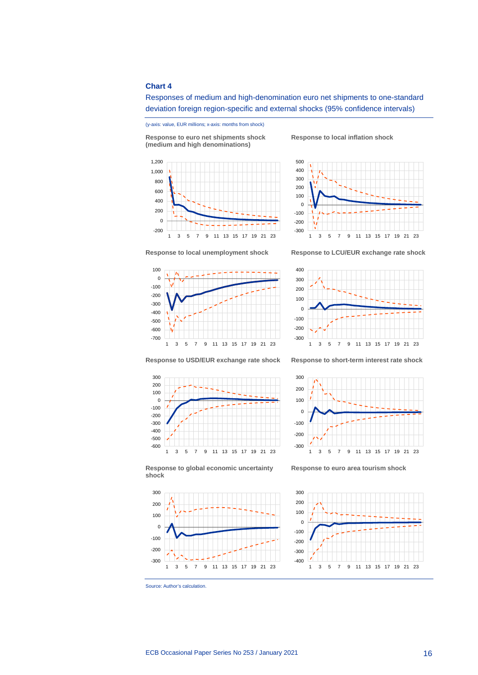### **Chart 4**



(y-axis: value, EUR millions; x-axis: months from shock) **Response to euro net shipments shock (medium and high denominations)**

**Response to local inflation shock**

Responses of medium and high-denomination euro net shipments to one-standard deviation foreign region-specific and external shocks (95% confidence intervals)







**Response to local unemployment shock Response to LCU/EUR exchange rate shock**



**Response to USD/EUR exchange rate shock Response to short-term interest rate shock**





**Response to global economic uncertainty shock**



**Response to euro area tourism shock**



Source: Author's calculation.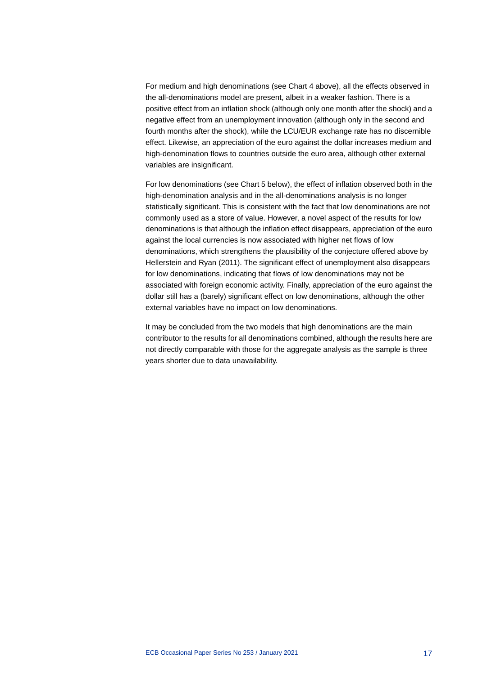For medium and high denominations (see Chart 4 above), all the effects observed in the all-denominations model are present, albeit in a weaker fashion. There is a positive effect from an inflation shock (although only one month after the shock) and a negative effect from an unemployment innovation (although only in the second and fourth months after the shock), while the LCU/EUR exchange rate has no discernible effect. Likewise, an appreciation of the euro against the dollar increases medium and high-denomination flows to countries outside the euro area, although other external variables are insignificant.

For low denominations (see Chart 5 below), the effect of inflation observed both in the high-denomination analysis and in the all-denominations analysis is no longer statistically significant. This is consistent with the fact that low denominations are not commonly used as a store of value. However, a novel aspect of the results for low denominations is that although the inflation effect disappears, appreciation of the euro against the local currencies is now associated with higher net flows of low denominations, which strengthens the plausibility of the conjecture offered above by Hellerstein and Ryan (2011). The significant effect of unemployment also disappears for low denominations, indicating that flows of low denominations may not be associated with foreign economic activity. Finally, appreciation of the euro against the dollar still has a (barely) significant effect on low denominations, although the other external variables have no impact on low denominations.

It may be concluded from the two models that high denominations are the main contributor to the results for all denominations combined, although the results here are not directly comparable with those for the aggregate analysis as the sample is three years shorter due to data unavailability.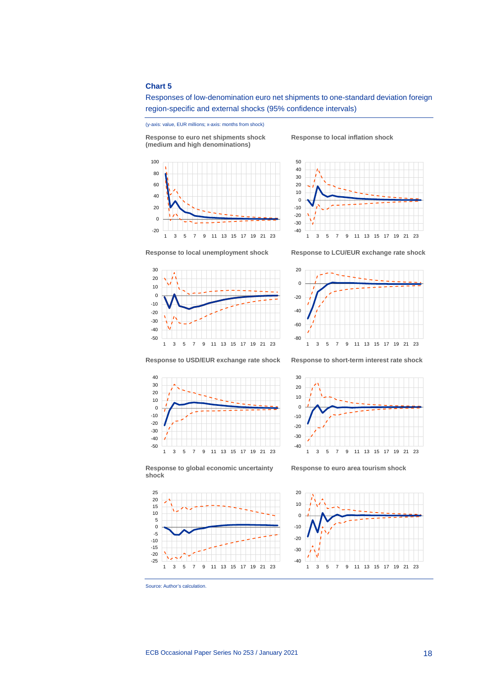### **Chart 5**



(y-axis: value, EUR millions; x-axis: months from shock)

**Response to euro net shipments shock (medium and high denominations)**



**Response to local inflation shock**





**Response to local unemployment shock Response to LCU/EUR exchange rate shock**



**Response to USD/EUR exchange rate shock Response to short-term interest rate shock**





**Response to euro area tourism shock**

1 3 5 7 9 11 13 15 17 19 21 23

-40 -30 -20 -10 0 10 20 30





-25



**shock**

ECB Occasional Paper Series No 253 / January 2021 18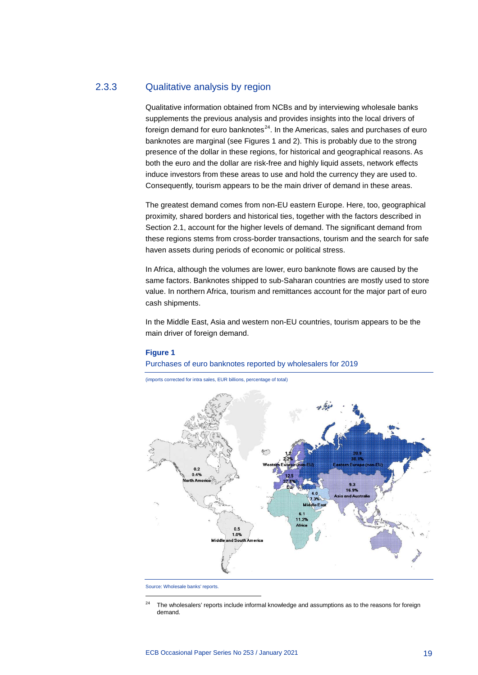### 2.3.3 Qualitative analysis by region

Qualitative information obtained from NCBs and by interviewing wholesale banks supplements the previous analysis and provides insights into the local drivers of foreign demand for euro banknotes $^{24}$ . In the Americas, sales and purchases of euro banknotes are marginal (see Figures 1 and 2). This is probably due to the strong presence of the dollar in these regions, for historical and geographical reasons. As both the euro and the dollar are risk-free and highly liquid assets, network effects induce investors from these areas to use and hold the currency they are used to. Consequently, tourism appears to be the main driver of demand in these areas.

The greatest demand comes from non-EU eastern Europe. Here, too, geographical proximity, shared borders and historical ties, together with the factors described in Section 2.1, account for the higher levels of demand. The significant demand from these regions stems from cross-border transactions, tourism and the search for safe haven assets during periods of economic or political stress.

In Africa, although the volumes are lower, euro banknote flows are caused by the same factors. Banknotes shipped to sub-Saharan countries are mostly used to store value. In northern Africa, tourism and remittances account for the major part of euro cash shipments.

In the Middle East, Asia and western non-EU countries, tourism appears to be the main driver of foreign demand.

#### **Figure 1**

Purchases of euro banknotes reported by wholesalers for 2019

(imports corrected for intra sales, EUR billions, percentage of total)



<span id="page-19-0"></span>Source: Wholesale banks' reports.

The wholesalers' reports include informal knowledge and assumptions as to the reasons for foreign demand.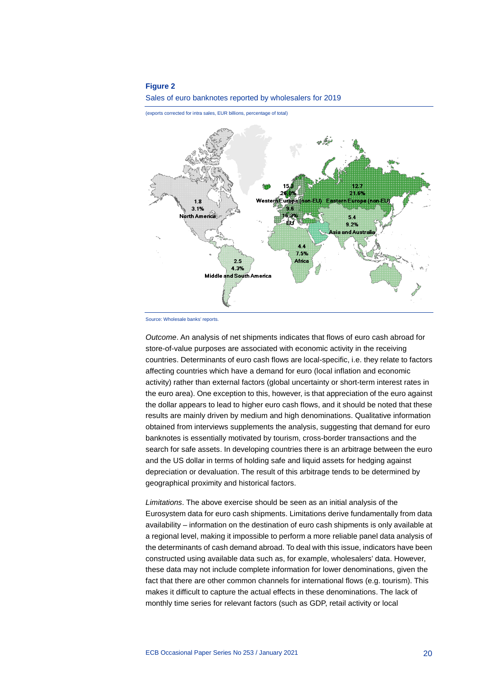### **Figure 2**





(exports corrected for intra sales, EUR billions, percentage of total)

*Outcome*. An analysis of net shipments indicates that flows of euro cash abroad for store-of-value purposes are associated with economic activity in the receiving countries. Determinants of euro cash flows are local-specific, i.e. they relate to factors affecting countries which have a demand for euro (local inflation and economic activity) rather than external factors (global uncertainty or short-term interest rates in the euro area). One exception to this, however, is that appreciation of the euro against the dollar appears to lead to higher euro cash flows, and it should be noted that these results are mainly driven by medium and high denominations. Qualitative information obtained from interviews supplements the analysis, suggesting that demand for euro banknotes is essentially motivated by tourism, cross-border transactions and the search for safe assets. In developing countries there is an arbitrage between the euro and the US dollar in terms of holding safe and liquid assets for hedging against depreciation or devaluation. The result of this arbitrage tends to be determined by geographical proximity and historical factors.

*Limitations*. The above exercise should be seen as an initial analysis of the Eurosystem data for euro cash shipments. Limitations derive fundamentally from data availability – information on the destination of euro cash shipments is only available at a regional level, making it impossible to perform a more reliable panel data analysis of the determinants of cash demand abroad. To deal with this issue, indicators have been constructed using available data such as, for example, wholesalers' data. However, these data may not include complete information for lower denominations, given the fact that there are other common channels for international flows (e.g. tourism). This makes it difficult to capture the actual effects in these denominations. The lack of monthly time series for relevant factors (such as GDP, retail activity or local

Source: Wholesale banks' reports.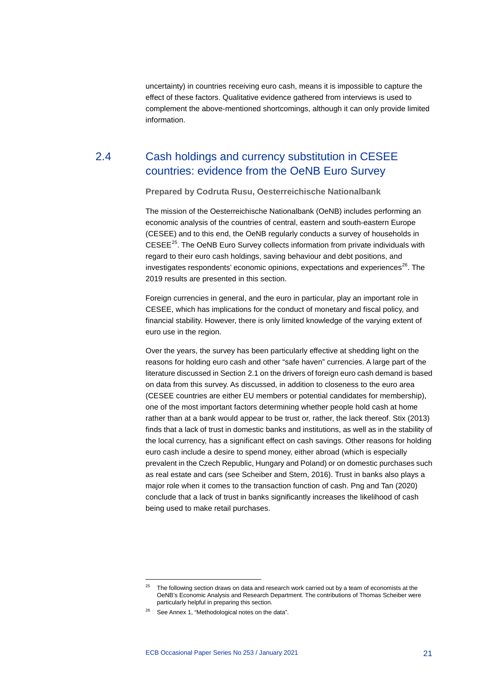<span id="page-21-0"></span>uncertainty) in countries receiving euro cash, means it is impossible to capture the effect of these factors. Qualitative evidence gathered from interviews is used to complement the above-mentioned shortcomings, although it can only provide limited information.

### 2.4 Cash holdings and currency substitution in CESEE countries: evidence from the OeNB Euro Survey

**Prepared by Codruta Rusu, Oesterreichische Nationalbank**

The mission of the Oesterreichische Nationalbank (OeNB) includes performing an economic analysis of the countries of central, eastern and south-eastern Europe (CESEE) and to this end, the OeNB regularly conducts a survey of households in  $CESEE<sup>25</sup>$ . The OeNB Euro Survey collects information from private individuals with regard to their euro cash holdings, saving behaviour and debt positions, and investigates respondents' economic opinions, expectations and experiences<sup>26</sup>. The 2019 results are presented in this section.

Foreign currencies in general, and the euro in particular, play an important role in CESEE, which has implications for the conduct of monetary and fiscal policy, and financial stability. However, there is only limited knowledge of the varying extent of euro use in the region.

Over the years, the survey has been particularly effective at shedding light on the reasons for holding euro cash and other "safe haven" currencies. A large part of the literature discussed in Section 2.1 on the drivers of foreign euro cash demand is based on data from this survey. As discussed, in addition to closeness to the euro area (CESEE countries are either EU members or potential candidates for membership), one of the most important factors determining whether people hold cash at home rather than at a bank would appear to be trust or, rather, the lack thereof. Stix (2013) finds that a lack of trust in domestic banks and institutions, as well as in the stability of the local currency, has a significant effect on cash savings. Other reasons for holding euro cash include a desire to spend money, either abroad (which is especially prevalent in the Czech Republic, Hungary and Poland) or on domestic purchases such as real estate and cars (see Scheiber and Stern, 2016). Trust in banks also plays a major role when it comes to the transaction function of cash. Png and Tan (2020) conclude that a lack of trust in banks significantly increases the likelihood of cash being used to make retail purchases.

<span id="page-21-1"></span> $25$  The following section draws on data and research work carried out by a team of economists at the OeNB's Economic Analysis and Research Department. The contributions of Thomas Scheiber were particularly helpful in preparing this section.

<span id="page-21-2"></span><sup>&</sup>lt;sup>26</sup> See Annex 1, "Methodological notes on the data".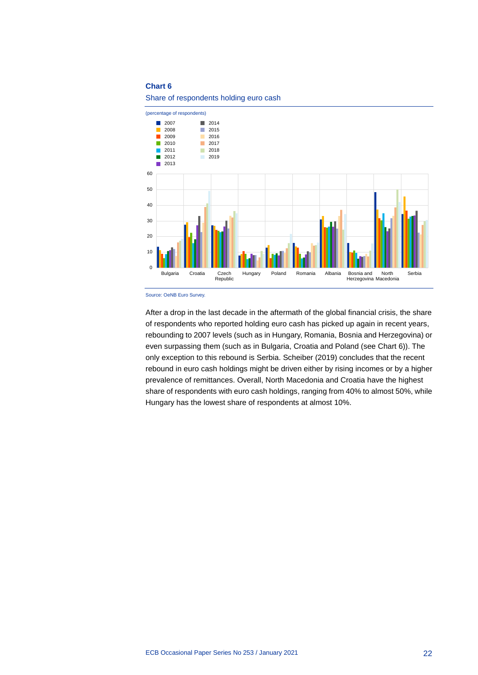### **Chart 6**





Source: OeNB Euro Survey.

After a drop in the last decade in the aftermath of the global financial crisis, the share of respondents who reported holding euro cash has picked up again in recent years, rebounding to 2007 levels (such as in Hungary, Romania, Bosnia and Herzegovina) or even surpassing them (such as in Bulgaria, Croatia and Poland (see Chart 6)). The only exception to this rebound is Serbia. Scheiber (2019) concludes that the recent rebound in euro cash holdings might be driven either by rising incomes or by a higher prevalence of remittances. Overall, North Macedonia and Croatia have the highest share of respondents with euro cash holdings, ranging from 40% to almost 50%, while Hungary has the lowest share of respondents at almost 10%.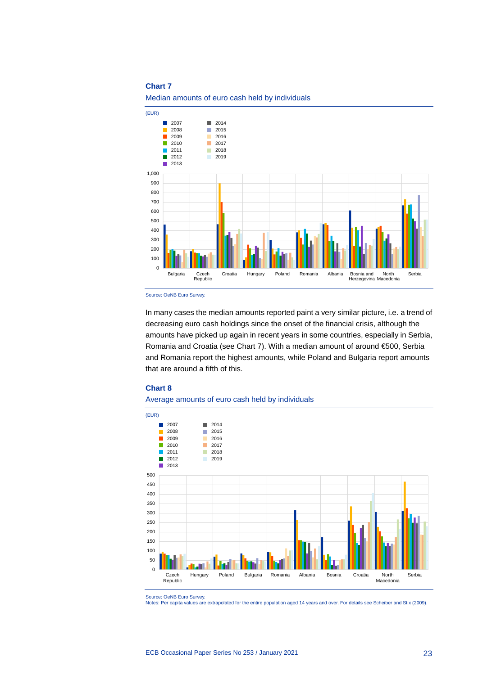### **Chart 7**





Source: OeNB Euro Survey.

In many cases the median amounts reported paint a very similar picture, i.e. a trend of decreasing euro cash holdings since the onset of the financial crisis, although the amounts have picked up again in recent years in some countries, especially in Serbia, Romania and Croatia (see Chart 7). With a median amount of around €500, Serbia and Romania report the highest amounts, while Poland and Bulgaria report amounts that are around a fifth of this.

### **Chart 8**





Source: OeNB Euro Survey.

Notes: Per capita values are extrapolated for the entire population aged 14 years and over. For details see Scheiber and Stix (2009).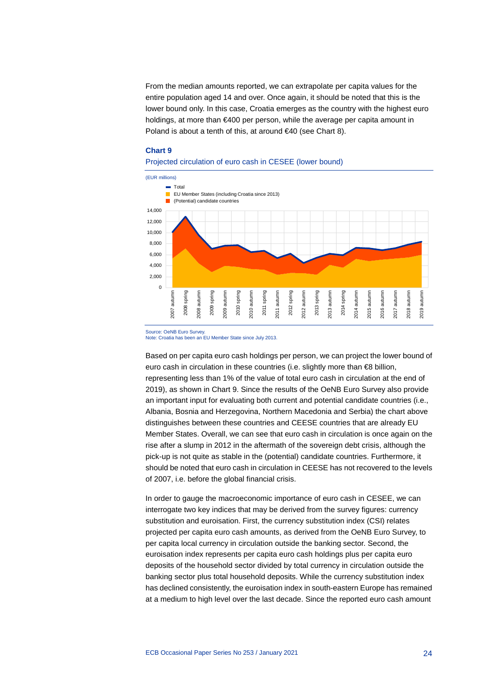From the median amounts reported, we can extrapolate per capita values for the entire population aged 14 and over. Once again, it should be noted that this is the lower bound only. In this case, Croatia emerges as the country with the highest euro holdings, at more than €400 per person, while the average per capita amount in Poland is about a tenth of this, at around €40 (see Chart 8).

### **Chart 9**

### Projected circulation of euro cash in CESEE (lower bound)



Source: OeNB Euro Survey. Note: Croatia has been an EU Member State since July 2013.

Based on per capita euro cash holdings per person, we can project the lower bound of euro cash in circulation in these countries (i.e. slightly more than €8 billion, representing less than 1% of the value of total euro cash in circulation at the end of 2019), as shown in Chart 9. Since the results of the OeNB Euro Survey also provide an important input for evaluating both current and potential candidate countries (i.e., Albania, Bosnia and Herzegovina, Northern Macedonia and Serbia) the chart above distinguishes between these countries and CEESE countries that are already EU Member States. Overall, we can see that euro cash in circulation is once again on the rise after a slump in 2012 in the aftermath of the sovereign debt crisis, although the pick-up is not quite as stable in the (potential) candidate countries. Furthermore, it should be noted that euro cash in circulation in CEESE has not recovered to the levels of 2007, i.e. before the global financial crisis.

In order to gauge the macroeconomic importance of euro cash in CESEE, we can interrogate two key indices that may be derived from the survey figures: currency substitution and euroisation. First, the currency substitution index (CSI) relates projected per capita euro cash amounts, as derived from the OeNB Euro Survey, to per capita local currency in circulation outside the banking sector. Second, the euroisation index represents per capita euro cash holdings plus per capita euro deposits of the household sector divided by total currency in circulation outside the banking sector plus total household deposits. While the currency substitution index has declined consistently, the euroisation index in south-eastern Europe has remained at a medium to high level over the last decade. Since the reported euro cash amount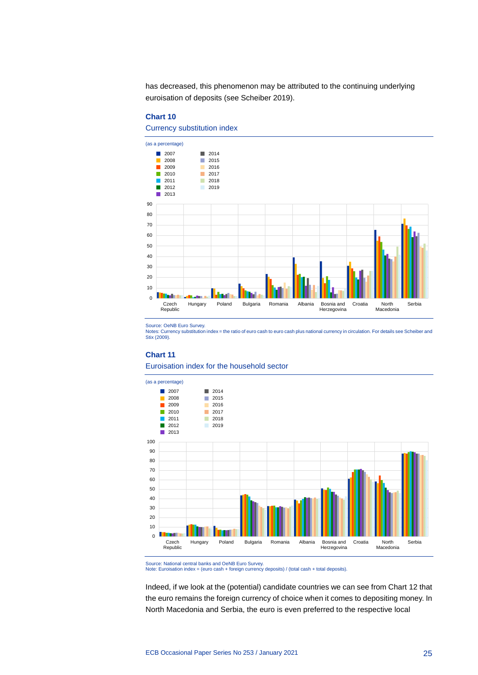has decreased, this phenomenon may be attributed to the continuing underlying euroisation of deposits (see Scheiber 2019).

### **Chart 10**

Currency substitution index



Source: OeNB Euro Survey.

Notes: Currency substitution index = the ratio of euro cash to euro cash plus national currency in circulation. For details see Scheiber and Stix (2009)

#### **Chart 11**

#### Euroisation index for the household sector



Source: National central banks and OeNB Euro Survey.

Note: Euroisation index = (euro cash + foreign currency deposits) / (total cash + total deposits).

Indeed, if we look at the (potential) candidate countries we can see from Chart 12 that the euro remains the foreign currency of choice when it comes to depositing money. In North Macedonia and Serbia, the euro is even preferred to the respective local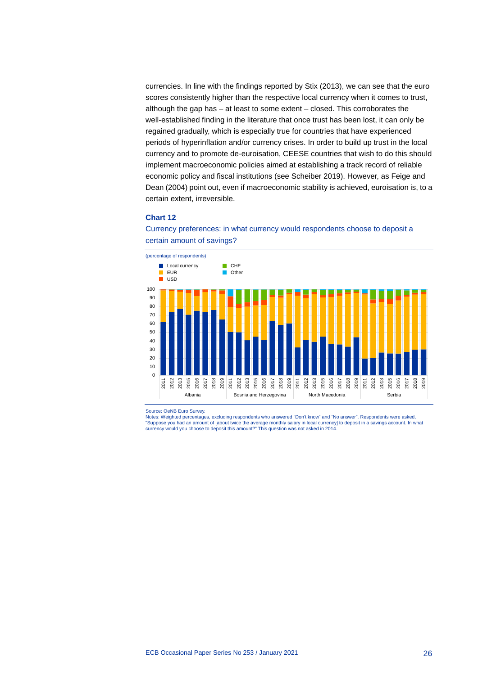currencies. In line with the findings reported by Stix (2013), we can see that the euro scores consistently higher than the respective local currency when it comes to trust, although the gap has – at least to some extent – closed. This corroborates the well-established finding in the literature that once trust has been lost, it can only be regained gradually, which is especially true for countries that have experienced periods of hyperinflation and/or currency crises. In order to build up trust in the local currency and to promote de-euroisation, CEESE countries that wish to do this should implement macroeconomic policies aimed at establishing a track record of reliable economic policy and fiscal institutions (see Scheiber 2019). However, as Feige and Dean (2004) point out, even if macroeconomic stability is achieved, euroisation is, to a certain extent, irreversible.

### **Chart 12**



Currency preferences: in what currency would respondents choose to deposit a certain amount of savings?

Source: OeNB Euro Survey.

Notes: Weighted percentages, excluding respondents who answered "Don't know" and "No answer". Respondents were asked, "Suppose you had an amount of [about twice the average monthly salary in local currency] to deposit in a savings account. In what currency would you choose to deposit this amount?" This question was not asked in 2014.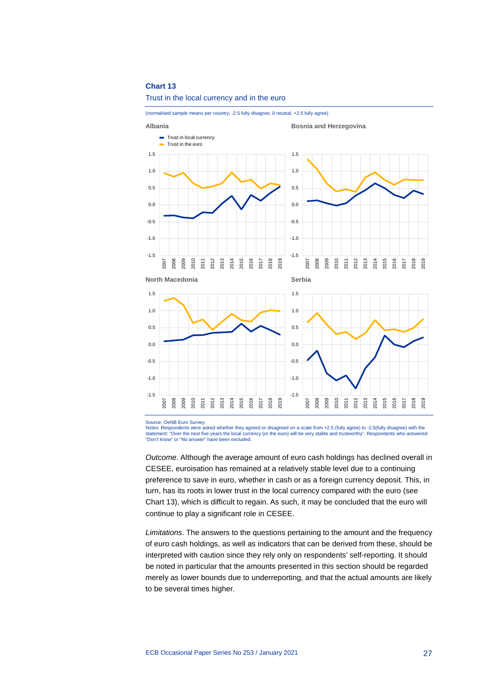#### **Chart 13**

### Trust in the local currency and in the euro

(normalised sample means per country; -2.5 fully disagree, 0 neutral, +2.5 fully agree)



Source: OeNB Euro Survey.

Notes: Respondents were asked whether they agreed or disagreed on a scale from +2.5 (fully agree) to -2.5(fully disagree) with the statement: "Over the next five years the local currency (or the euro) will be very stable and trustworthy". Respondents who answered "Don't know" or "No answer" have been excluded.

*Outcome*. Although the average amount of euro cash holdings has declined overall in CESEE, euroisation has remained at a relatively stable level due to a continuing preference to save in euro, whether in cash or as a foreign currency deposit. This, in turn, has its roots in lower trust in the local currency compared with the euro (see Chart 13), which is difficult to regain. As such, it may be concluded that the euro will continue to play a significant role in CESEE.

*Limitations*. The answers to the questions pertaining to the amount and the frequency of euro cash holdings, as well as indicators that can be derived from these, should be interpreted with caution since they rely only on respondents' self-reporting. It should be noted in particular that the amounts presented in this section should be regarded merely as lower bounds due to underreporting, and that the actual amounts are likely to be several times higher.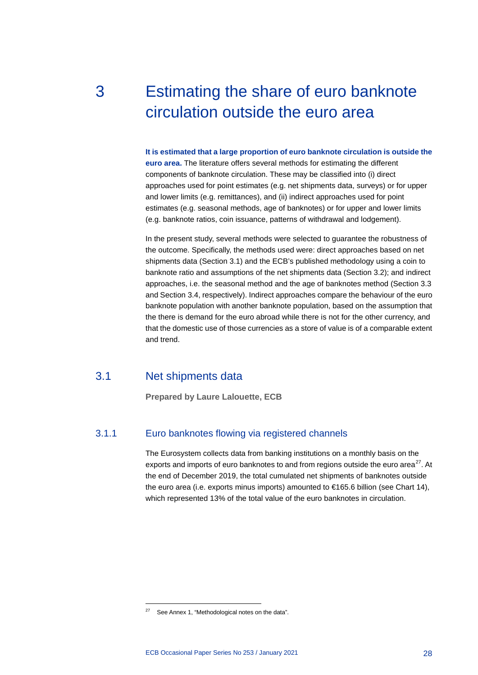# <span id="page-28-0"></span>3 Estimating the share of euro banknote circulation outside the euro area

**It is estimated that a large proportion of euro banknote circulation is outside the euro area.** The literature offers several methods for estimating the different components of banknote circulation. These may be classified into (i) direct approaches used for point estimates (e.g. net shipments data, surveys) or for upper and lower limits (e.g. remittances), and (ii) indirect approaches used for point estimates (e.g. seasonal methods, age of banknotes) or for upper and lower limits (e.g. banknote ratios, coin issuance, patterns of withdrawal and lodgement).

In the present study, several methods were selected to guarantee the robustness of the outcome. Specifically, the methods used were: direct approaches based on net shipments data (Section 3.1) and the ECB's published methodology using a coin to banknote ratio and assumptions of the net shipments data (Section 3.2); and indirect approaches, i.e. the seasonal method and the age of banknotes method (Section 3.3 and Section 3.4, respectively). Indirect approaches compare the behaviour of the euro banknote population with another banknote population, based on the assumption that the there is demand for the euro abroad while there is not for the other currency, and that the domestic use of those currencies as a store of value is of a comparable extent and trend.

### 3.1 Net shipments data

-

<span id="page-28-1"></span>**Prepared by Laure Lalouette, ECB**

### 3.1.1 Euro banknotes flowing via registered channels

The Eurosystem collects data from banking institutions on a monthly basis on the exports and imports of euro banknotes to and from regions outside the euro area $^{27}$ . At the end of December 2019, the total cumulated net shipments of banknotes outside the euro area (i.e. exports minus imports) amounted to €165.6 billion (see Chart 14), which represented 13% of the total value of the euro banknotes in circulation.

<span id="page-28-2"></span> $27$  See Annex 1, "Methodological notes on the data".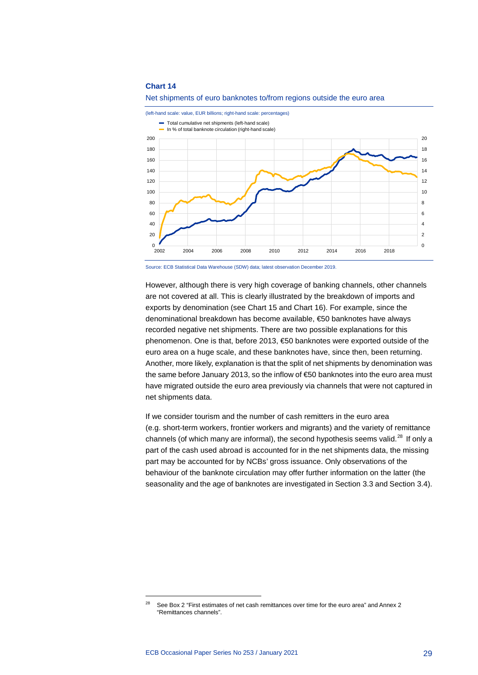#### **Chart 14**





Source: ECB Statistical Data Warehouse (SDW) data; latest observation December 2019.

However, although there is very high coverage of banking channels, other channels are not covered at all. This is clearly illustrated by the breakdown of imports and exports by denomination (see Chart 15 and Chart 16). For example, since the denominational breakdown has become available, €50 banknotes have always recorded negative net shipments. There are two possible explanations for this phenomenon. One is that, before 2013, €50 banknotes were exported outside of the euro area on a huge scale, and these banknotes have, since then, been returning. Another, more likely, explanation is that the split of net shipments by denomination was the same before January 2013, so the inflow of €50 banknotes into the euro area must have migrated outside the euro area previously via channels that were not captured in net shipments data.

If we consider tourism and the number of cash remitters in the euro area (e.g. short-term workers, frontier workers and migrants) and the variety of remittance channels (of which many are informal), the second hypothesis seems valid. $^{28}$  $^{28}$  $^{28}$  If only a part of the cash used abroad is accounted for in the net shipments data, the missing part may be accounted for by NCBs' gross issuance. Only observations of the behaviour of the banknote circulation may offer further information on the latter (the seasonality and the age of banknotes are investigated in Section 3.3 and Section 3.4).

<span id="page-29-0"></span><sup>&</sup>lt;sup>28</sup> See Box 2 "First estimates of net cash remittances over time for the euro area" and Annex 2 "Remittances channels".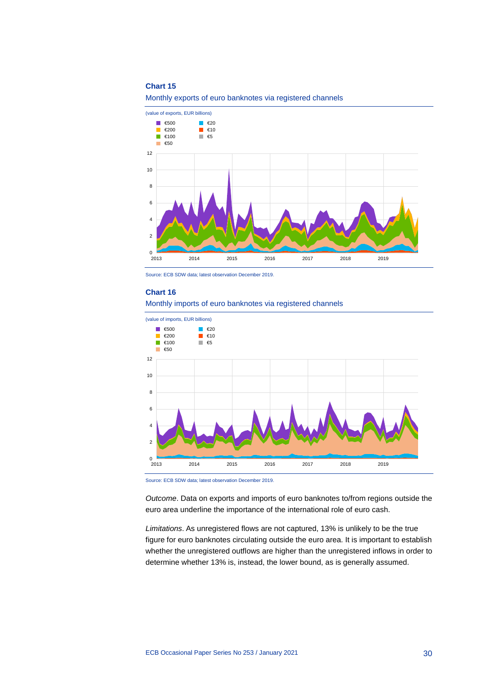### **Chart 15**

Monthly exports of euro banknotes via registered channels



Source: ECB SDW data; latest observation December 2019.

#### **Chart 16**







*Outcome*. Data on exports and imports of euro banknotes to/from regions outside the euro area underline the importance of the international role of euro cash.

*Limitations*. As unregistered flows are not captured, 13% is unlikely to be the true figure for euro banknotes circulating outside the euro area. It is important to establish whether the unregistered outflows are higher than the unregistered inflows in order to determine whether 13% is, instead, the lower bound, as is generally assumed.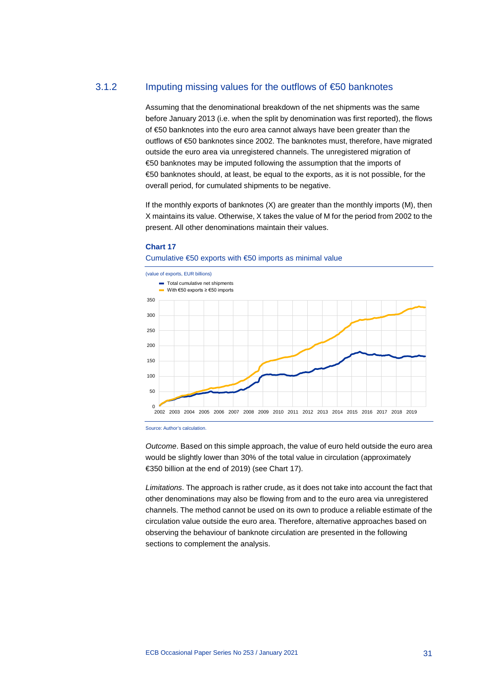### 3.1.2 Imputing missing values for the outflows of €50 banknotes

Assuming that the denominational breakdown of the net shipments was the same before January 2013 (i.e. when the split by denomination was first reported), the flows of €50 banknotes into the euro area cannot always have been greater than the outflows of €50 banknotes since 2002. The banknotes must, therefore, have migrated outside the euro area via unregistered channels. The unregistered migration of €50 banknotes may be imputed following the assumption that the imports of €50 banknotes should, at least, be equal to the exports, as it is not possible, for the overall period, for cumulated shipments to be negative.

If the monthly exports of banknotes (X) are greater than the monthly imports (M), then X maintains its value. Otherwise, X takes the value of M for the period from 2002 to the present. All other denominations maintain their values.

#### **Chart 17**



### Cumulative €50 exports with €50 imports as minimal value

Source: Author's calculation.

*Outcome*. Based on this simple approach, the value of euro held outside the euro area would be slightly lower than 30% of the total value in circulation (approximately €350 billion at the end of 2019) (see Chart 17).

*Limitations*. The approach is rather crude, as it does not take into account the fact that other denominations may also be flowing from and to the euro area via unregistered channels. The method cannot be used on its own to produce a reliable estimate of the circulation value outside the euro area. Therefore, alternative approaches based on observing the behaviour of banknote circulation are presented in the following sections to complement the analysis.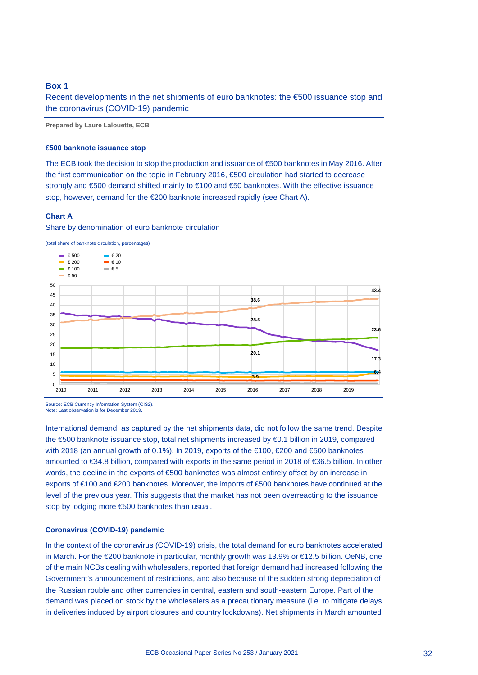### <span id="page-32-0"></span>**Box 1**

Recent developments in the net shipments of euro banknotes: the €500 issuance stop and the coronavirus (COVID-19) pandemic

**Prepared by Laure Lalouette, ECB**

### €**500 banknote issuance stop**

The ECB took the decision to stop the production and issuance of €500 banknotes in May 2016. After the first communication on the topic in February 2016, €500 circulation had started to decrease strongly and €500 demand shifted mainly to €100 and €50 banknotes. With the effective issuance stop, however, demand for the €200 banknote increased rapidly (see Chart A).

### **Chart A**





Source: ECB Currency Information System (CIS2). Note: Last observation is for December 2019.

International demand, as captured by the net shipments data, did not follow the same trend. Despite the €500 banknote issuance stop, total net shipments increased by €0.1 billion in 2019, compared with 2018 (an annual growth of 0.1%). In 2019, exports of the €100, €200 and €500 banknotes amounted to €34.8 billion, compared with exports in the same period in 2018 of €36.5 billion. In other words, the decline in the exports of €500 banknotes was almost entirely offset by an increase in exports of €100 and €200 banknotes. Moreover, the imports of €500 banknotes have continued at the level of the previous year. This suggests that the market has not been overreacting to the issuance stop by lodging more €500 banknotes than usual.

### **Coronavirus (COVID-19) pandemic**

In the context of the coronavirus (COVID-19) crisis, the total demand for euro banknotes accelerated in March. For the €200 banknote in particular, monthly growth was 13.9% or €12.5 billion. OeNB, one of the main NCBs dealing with wholesalers, reported that foreign demand had increased following the Government's announcement of restrictions, and also because of the sudden strong depreciation of the Russian rouble and other currencies in central, eastern and south-eastern Europe. Part of the demand was placed on stock by the wholesalers as a precautionary measure (i.e. to mitigate delays in deliveries induced by airport closures and country lockdowns). Net shipments in March amounted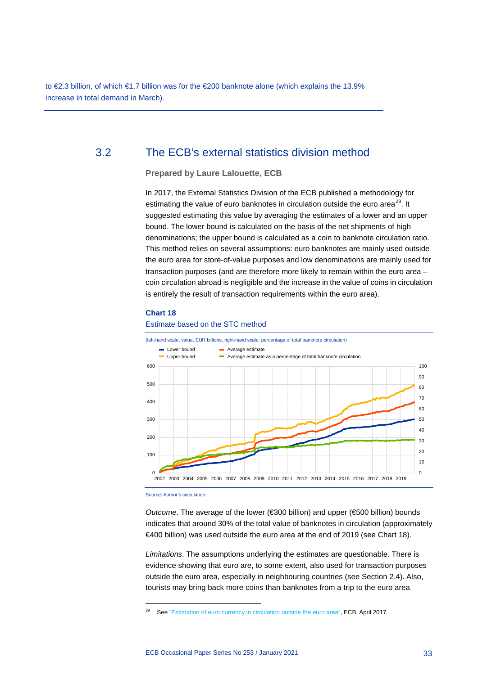to €2.3 billion, of which €1.7 billion was for the €200 banknote alone (which explains the 13.9% increase in total demand in March).

### 3.2 The ECB's external statistics division method

<span id="page-33-0"></span>**Prepared by Laure Lalouette, ECB**

In 2017, the External Statistics Division of the ECB published a methodology for estimating the value of euro banknotes in circulation outside the euro area<sup>29</sup>. It suggested estimating this value by averaging the estimates of a lower and an upper bound. The lower bound is calculated on the basis of the net shipments of high denominations; the upper bound is calculated as a coin to banknote circulation ratio. This method relies on several assumptions: euro banknotes are mainly used outside the euro area for store-of-value purposes and low denominations are mainly used for transaction purposes (and are therefore more likely to remain within the euro area – coin circulation abroad is negligible and the increase in the value of coins in circulation is entirely the result of transaction requirements within the euro area).

### **Chart 18**

### Estimate based on the STC method



Source: Author's calculation.

-

*Outcome*. The average of the lower (€300 billion) and upper (€500 billion) bounds indicates that around 30% of the total value of banknotes in circulation (approximately €400 billion) was used outside the euro area at the end of 2019 (see Chart 18).

*Limitations*. The assumptions underlying the estimates are questionable. There is evidence showing that euro are, to some extent, also used for transaction purposes outside the euro area, especially in neighbouring countries (see Section 2.4). Also, tourists may bring back more coins than banknotes from a trip to the euro area

<span id="page-33-1"></span><sup>&</sup>lt;sup>29</sup> Se[e "Estimation of euro currency in circulation outside the euro area",](https://www.ecb.europa.eu/pub/pdf/other/estimating_eur_in_circulation_outside_the_euro_area-201704.en.pdf) ECB, April 2017.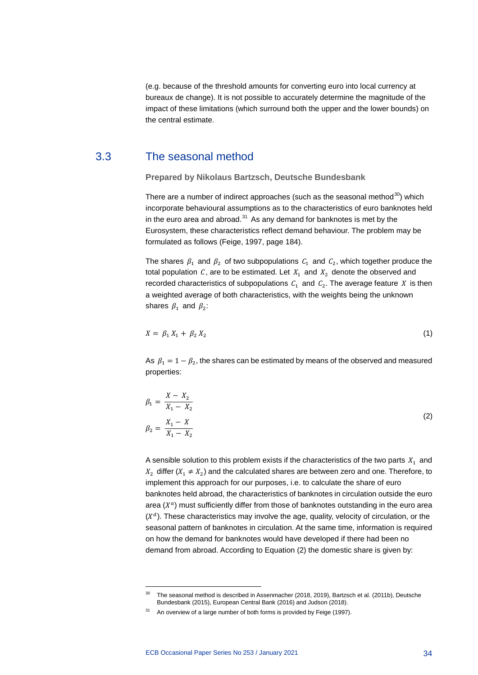(e.g. because of the threshold amounts for converting euro into local currency at bureaux de change). It is not possible to accurately determine the magnitude of the impact of these limitations (which surround both the upper and the lower bounds) on the central estimate.

### 3.3 The seasonal method

<span id="page-34-0"></span>**Prepared by Nikolaus Bartzsch, Deutsche Bundesbank**

There are a number of indirect approaches (such as the seasonal method $30$ ) which incorporate behavioural assumptions as to the characteristics of euro banknotes held in the euro area and abroad. $31$  As any demand for banknotes is met by the Eurosystem, these characteristics reflect demand behaviour. The problem may be formulated as follows (Feige, 1997, page 184).

The shares  $\beta_1$  and  $\beta_2$  of two subpopulations  $C_1$  and  $C_2$ , which together produce the total population C, are to be estimated. Let  $X_1$  and  $X_2$  denote the observed and recorded characteristics of subpopulations  $C_1$  and  $C_2$ . The average feature X is then a weighted average of both characteristics, with the weights being the unknown shares  $\beta_1$  and  $\beta_2$ :

$$
X = \beta_1 X_1 + \beta_2 X_2 \tag{1}
$$

As  $\beta_1 = 1 - \beta_2$ , the shares can be estimated by means of the observed and measured properties:

$$
\beta_1 = \frac{X - X_2}{X_1 - X_2}
$$
  
\n
$$
\beta_2 = \frac{X_1 - X}{X_1 - X_2}
$$
\n(2)

A sensible solution to this problem exists if the characteristics of the two parts  $X_1$  and  $X_2$  differ ( $X_1 \neq X_2$ ) and the calculated shares are between zero and one. Therefore, to implement this approach for our purposes, i.e. to calculate the share of euro banknotes held abroad, the characteristics of banknotes in circulation outside the euro area  $(X<sup>a</sup>)$  must sufficiently differ from those of banknotes outstanding in the euro area  $(X<sup>d</sup>)$ . These characteristics may involve the age, quality, velocity of circulation, or the seasonal pattern of banknotes in circulation. At the same time, information is required on how the demand for banknotes would have developed if there had been no demand from abroad. According to Equation (2) the domestic share is given by:

<sup>&</sup>lt;sup>30</sup> The seasonal method is described in Assenmacher (2018, 2019), Bartzsch et al. (2011b), Deutsche Bundesbank (2015), European Central Bank (2016) and Judson (2018).

<span id="page-34-2"></span><span id="page-34-1"></span> $31$  An overview of a large number of both forms is provided by Feige (1997).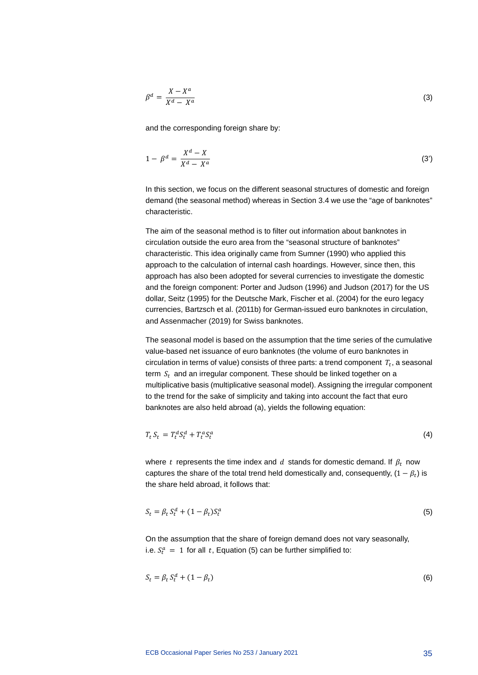$$
\beta^d = \frac{X - X^a}{X^d - X^a} \tag{3}
$$

and the corresponding foreign share by:

$$
1 - \beta^d = \frac{X^d - X}{X^d - X^a} \tag{3'}
$$

In this section, we focus on the different seasonal structures of domestic and foreign demand (the seasonal method) whereas in Section 3.4 we use the "age of banknotes" characteristic.

The aim of the seasonal method is to filter out information about banknotes in circulation outside the euro area from the "seasonal structure of banknotes" characteristic. This idea originally came from Sumner (1990) who applied this approach to the calculation of internal cash hoardings. However, since then, this approach has also been adopted for several currencies to investigate the domestic and the foreign component: Porter and Judson (1996) and Judson (2017) for the US dollar, Seitz (1995) for the Deutsche Mark, Fischer et al. (2004) for the euro legacy currencies, Bartzsch et al. (2011b) for German-issued euro banknotes in circulation, and Assenmacher (2019) for Swiss banknotes.

The seasonal model is based on the assumption that the time series of the cumulative value-based net issuance of euro banknotes (the volume of euro banknotes in circulation in terms of value) consists of three parts: a trend component  $T_t$ , a seasonal term  $S_t$  and an irregular component. These should be linked together on a multiplicative basis (multiplicative seasonal model). Assigning the irregular component to the trend for the sake of simplicity and taking into account the fact that euro banknotes are also held abroad (a), yields the following equation:

$$
T_t S_t = T_t^d S_t^d + T_t^a S_t^a \tag{4}
$$

where t represents the time index and d stands for domestic demand. If  $\beta_t$  now captures the share of the total trend held domestically and, consequently,  $(1 - \beta_t)$  is the share held abroad, it follows that:

$$
S_t = \beta_t S_t^d + (1 - \beta_t) S_t^a \tag{5}
$$

On the assumption that the share of foreign demand does not vary seasonally, i.e.  $S_t^a = 1$  for all t, Equation (5) can be further simplified to:

$$
S_t = \beta_t S_t^d + (1 - \beta_t) \tag{6}
$$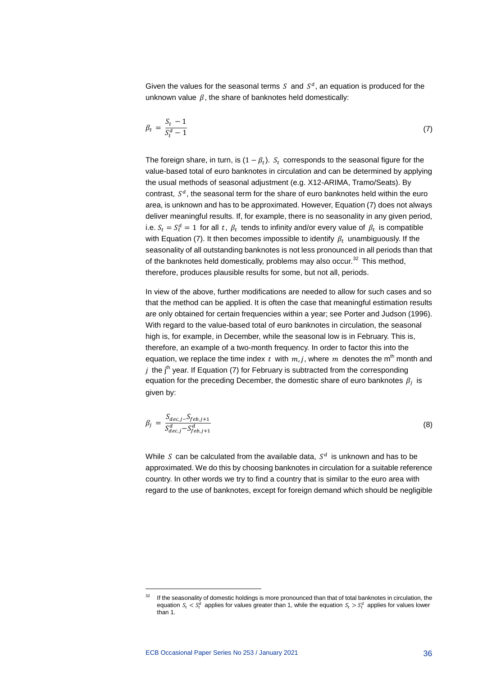Given the values for the seasonal terms  $S$  and  $S<sup>d</sup>$ , an equation is produced for the unknown value  $\beta$ , the share of banknotes held domestically:

$$
\beta_t = \frac{S_t - 1}{S_t^d - 1} \tag{7}
$$

The foreign share, in turn, is  $(1 - \beta_t)$ .  $S_t$  corresponds to the seasonal figure for the value-based total of euro banknotes in circulation and can be determined by applying the usual methods of seasonal adjustment (e.g. X12-ARIMA, Tramo/Seats). By contrast,  $S<sup>d</sup>$ , the seasonal term for the share of euro banknotes held within the euro area, is unknown and has to be approximated. However, Equation (7) does not always deliver meaningful results. If, for example, there is no seasonality in any given period, i.e.  $S_t = S_t^a = 1$  for all t,  $\beta_t$  tends to infinity and/or every value of  $\beta_t$  is compatible with Equation (7). It then becomes impossible to identify  $\beta_t$  unambiguously. If the seasonality of all outstanding banknotes is not less pronounced in all periods than that of the banknotes held domestically, problems may also occur.<sup>[32](#page-36-0)</sup> This method, therefore, produces plausible results for some, but not all, periods.

In view of the above, further modifications are needed to allow for such cases and so that the method can be applied. It is often the case that meaningful estimation results are only obtained for certain frequencies within a year; see Porter and Judson (1996). With regard to the value-based total of euro banknotes in circulation, the seasonal high is, for example, in December, while the seasonal low is in February. This is, therefore, an example of a two-month frequency. In order to factor this into the equation, we replace the time index t with  $m, j$ , where m denotes the m<sup>th</sup> month and *j* the j<sup>th</sup> year. If Equation (7) for February is subtracted from the corresponding equation for the preceding December, the domestic share of euro banknotes  $\beta_i$  is given by:

$$
\beta_j = \frac{S_{dec,j} - S_{feb,j+1}}{S_{dec,j}^d - S_{feb,j+1}^d}
$$
\n(8)

While S can be calculated from the available data,  $S<sup>d</sup>$  is unknown and has to be approximated. We do this by choosing banknotes in circulation for a suitable reference country. In other words we try to find a country that is similar to the euro area with regard to the use of banknotes, except for foreign demand which should be negligible

<span id="page-36-0"></span>If the seasonality of domestic holdings is more pronounced than that of total banknotes in circulation, the equation  $S_t < S_t^d$  applies for values greater than 1, while the equation  $S_t > S_t^d$  applies for values lower than 1.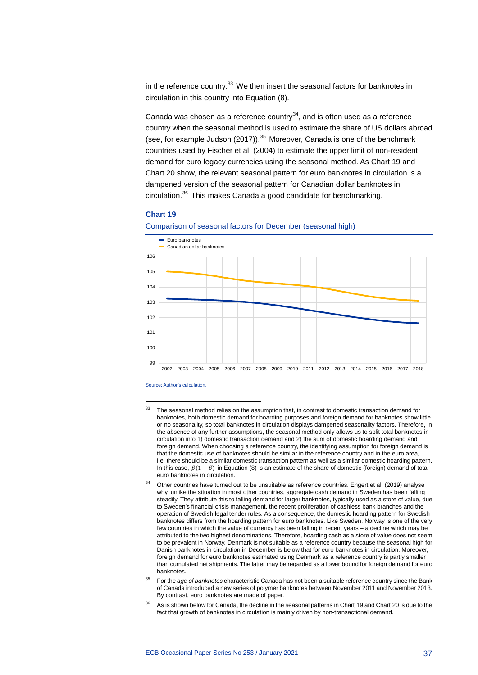in the reference country. $33$  We then insert the seasonal factors for banknotes in circulation in this country into Equation (8).

Canada was chosen as a reference country $^{34}$ , and is often used as a reference country when the seasonal method is used to estimate the share of US dollars abroad (see, for example Judson (2017)). $35$  Moreover, Canada is one of the benchmark countries used by Fischer et al. (2004) to estimate the upper limit of non-resident demand for euro legacy currencies using the seasonal method. As Chart 19 and Chart 20 show, the relevant seasonal pattern for euro banknotes in circulation is a dampened version of the seasonal pattern for Canadian dollar banknotes in circulation.[36](#page-37-3) This makes Canada a good candidate for benchmarking.

### **Chart 19**

Comparison of seasonal factors for December (seasonal high)



Source: Author's calculation.

- <span id="page-37-2"></span><sup>35</sup> For the *age of banknotes* characteristic Canada has not been a suitable reference country since the Bank of Canada introduced a new series of polymer banknotes between November 2011 and November 2013. By contrast, euro banknotes are made of paper.
- <span id="page-37-3"></span>As is shown below for Canada, the decline in the seasonal patterns in Chart 19 and Chart 20 is due to the fact that growth of banknotes in circulation is mainly driven by non-transactional demand.

<span id="page-37-0"></span><sup>&</sup>lt;sup>33</sup> The seasonal method relies on the assumption that, in contrast to domestic transaction demand for banknotes, both domestic demand for hoarding purposes and foreign demand for banknotes show little or no seasonality, so total banknotes in circulation displays dampened seasonality factors. Therefore, in the absence of any further assumptions, the seasonal method only allows us to split total banknotes in circulation into 1) domestic transaction demand and 2) the sum of domestic hoarding demand and foreign demand. When choosing a reference country, the identifying assumption for foreign demand is that the domestic use of banknotes should be similar in the reference country and in the euro area, i.e. there should be a similar domestic transaction pattern as well as a similar domestic hoarding pattern. In this case,  $\beta(1 - \beta)$  in Equation (8) is an estimate of the share of domestic (foreign) demand of total euro banknotes in circulation.

<span id="page-37-1"></span><sup>34</sup> Other countries have turned out to be unsuitable as reference countries. Engert et al. (2019) analyse why, unlike the situation in most other countries, aggregate cash demand in Sweden has been falling steadily. They attribute this to falling demand for larger banknotes, typically used as a store of value, due to Sweden's financial crisis management, the recent proliferation of cashless bank branches and the operation of Swedish legal tender rules. As a consequence, the domestic hoarding pattern for Swedish banknotes differs from the hoarding pattern for euro banknotes. Like Sweden, Norway is one of the very few countries in which the value of currency has been falling in recent years – a decline which may be attributed to the two highest denominations. Therefore, hoarding cash as a store of value does not seem to be prevalent in Norway. Denmark is not suitable as a reference country because the seasonal high for Danish banknotes in circulation in December is below that for euro banknotes in circulation. Moreover, foreign demand for euro banknotes estimated using Denmark as a reference country is partly smaller than cumulated net shipments. The latter may be regarded as a lower bound for foreign demand for euro banknotes.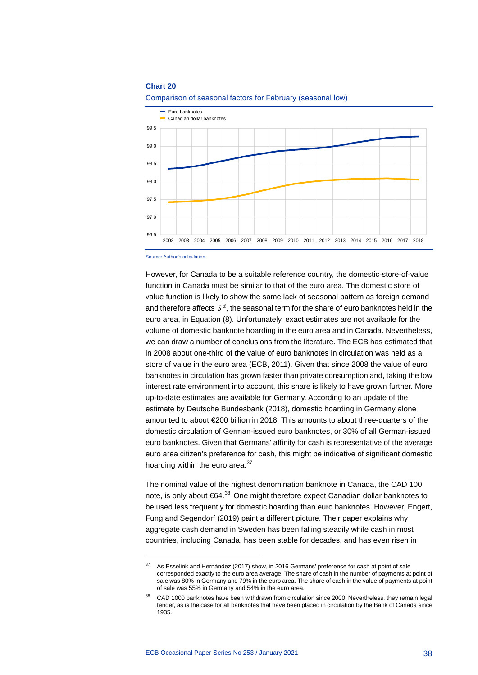### **Chart 20**





Source: Author's calculation.

-

However, for Canada to be a suitable reference country, the domestic-store-of-value function in Canada must be similar to that of the euro area. The domestic store of value function is likely to show the same lack of seasonal pattern as foreign demand and therefore affects  $S<sup>d</sup>$ , the seasonal term for the share of euro banknotes held in the euro area, in Equation (8). Unfortunately, exact estimates are not available for the volume of domestic banknote hoarding in the euro area and in Canada. Nevertheless, we can draw a number of conclusions from the literature. The ECB has estimated that in 2008 about one-third of the value of euro banknotes in circulation was held as a store of value in the euro area (ECB, 2011). Given that since 2008 the value of euro banknotes in circulation has grown faster than private consumption and, taking the low interest rate environment into account, this share is likely to have grown further. More up-to-date estimates are available for Germany. According to an update of the estimate by Deutsche Bundesbank (2018), domestic hoarding in Germany alone amounted to about €200 billion in 2018. This amounts to about three-quarters of the domestic circulation of German-issued euro banknotes, or 30% of all German-issued euro banknotes. Given that Germans' affinity for cash is representative of the average euro area citizen's preference for cash, this might be indicative of significant domestic hoarding within the euro area.<sup>[37](#page-38-0)</sup>

The nominal value of the highest denomination banknote in Canada, the CAD 100 note, is only about €64.<sup>[38](#page-38-1)</sup> One might therefore expect Canadian dollar banknotes to be used less frequently for domestic hoarding than euro banknotes. However, Engert, Fung and Segendorf (2019) paint a different picture. Their paper explains why aggregate cash demand in Sweden has been falling steadily while cash in most countries, including Canada, has been stable for decades, and has even risen in

<span id="page-38-0"></span> $37$  As Esselink and Hernández (2017) show, in 2016 Germans' preference for cash at point of sale corresponded exactly to the euro area average. The share of cash in the number of payments at point of sale was 80% in Germany and 79% in the euro area. The share of cash in the value of payments at point of sale was 55% in Germany and 54% in the euro area.

<span id="page-38-1"></span>CAD 1000 banknotes have been withdrawn from circulation since 2000. Nevertheless, they remain legal tender, as is the case for all banknotes that have been placed in circulation by the Bank of Canada since 1935.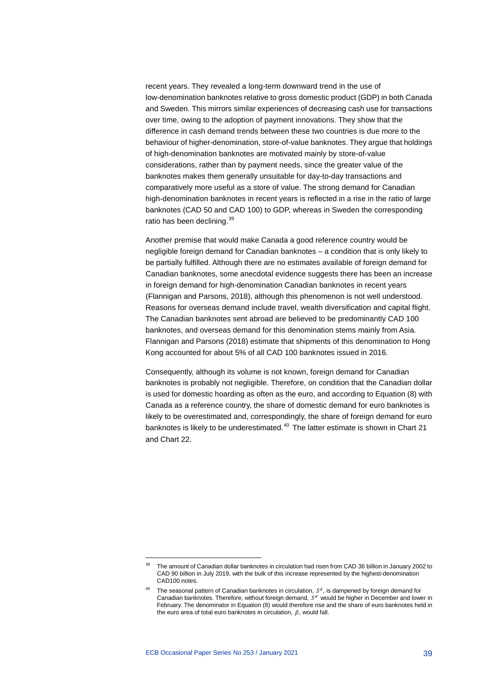recent years. They revealed a long-term downward trend in the use of low-denomination banknotes relative to gross domestic product (GDP) in both Canada and Sweden. This mirrors similar experiences of decreasing cash use for transactions over time, owing to the adoption of payment innovations. They show that the difference in cash demand trends between these two countries is due more to the behaviour of higher-denomination, store-of-value banknotes. They argue that holdings of high-denomination banknotes are motivated mainly by store-of-value considerations, rather than by payment needs, since the greater value of the banknotes makes them generally unsuitable for day-to-day transactions and comparatively more useful as a store of value. The strong demand for Canadian high-denomination banknotes in recent years is reflected in a rise in the ratio of large banknotes (CAD 50 and CAD 100) to GDP, whereas in Sweden the corresponding ratio has been declining.<sup>[39](#page-39-0)</sup>

Another premise that would make Canada a good reference country would be negligible foreign demand for Canadian banknotes – a condition that is only likely to be partially fulfilled. Although there are no estimates available of foreign demand for Canadian banknotes, some anecdotal evidence suggests there has been an increase in foreign demand for high-denomination Canadian banknotes in recent years (Flannigan and Parsons, 2018), although this phenomenon is not well understood. Reasons for overseas demand include travel, wealth diversification and capital flight. The Canadian banknotes sent abroad are believed to be predominantly CAD 100 banknotes, and overseas demand for this denomination stems mainly from Asia. Flannigan and Parsons (2018) estimate that shipments of this denomination to Hong Kong accounted for about 5% of all CAD 100 banknotes issued in 2016.

Consequently, although its volume is not known, foreign demand for Canadian banknotes is probably not negligible. Therefore, on condition that the Canadian dollar is used for domestic hoarding as often as the euro, and according to Equation (8) with Canada as a reference country, the share of domestic demand for euro banknotes is likely to be overestimated and, correspondingly, the share of foreign demand for euro banknotes is likely to be underestimated.<sup>[40](#page-39-1)</sup> The latter estimate is shown in Chart 21 and Chart 22.

<span id="page-39-0"></span><sup>39</sup> The amount of Canadian dollar banknotes in circulation had risen from CAD 36 billion in January 2002 to CAD 90 billion in July 2019, with the bulk of this increase represented by the highest-denomination CAD100 notes.

<span id="page-39-1"></span><sup>&</sup>lt;sup>40</sup> The seasonal pattern of Canadian banknotes in circulation,  $S<sup>d</sup>$ , is dampened by foreign demand for Canadian banknotes. Therefore, without foreign demand,  $S^d$  would be higher in December and lower in February. The denominator in Equation (8) would therefore rise and the share of euro banknotes held in the euro area of total euro banknotes in circulation,  $\beta$ , would fall.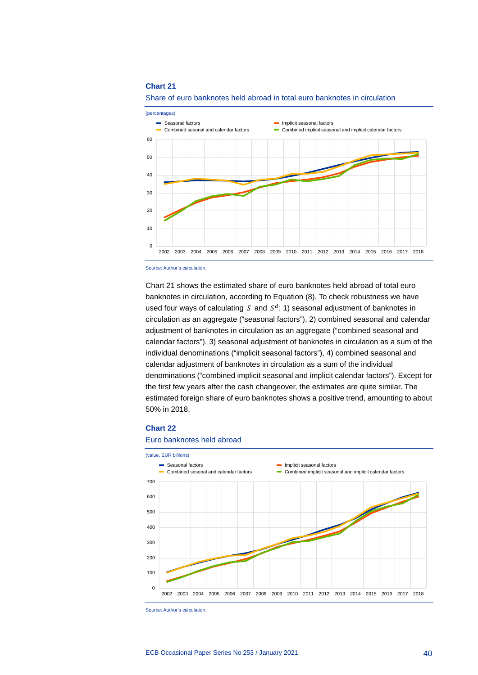### **Chart 21**





Chart 21 shows the estimated share of euro banknotes held abroad of total euro banknotes in circulation, according to Equation (8). To check robustness we have used four ways of calculating  $S$  and  $S^d$ : 1) seasonal adjustment of banknotes in circulation as an aggregate ("seasonal factors"), 2) combined seasonal and calendar adjustment of banknotes in circulation as an aggregate ("combined seasonal and calendar factors"), 3) seasonal adjustment of banknotes in circulation as a sum of the individual denominations ("implicit seasonal factors"), 4) combined seasonal and calendar adjustment of banknotes in circulation as a sum of the individual denominations ("combined implicit seasonal and implicit calendar factors"). Except for the first few years after the cash changeover, the estimates are quite similar. The estimated foreign share of euro banknotes shows a positive trend, amounting to about 50% in 2018.

### **Chart 22**

#### Euro banknotes held abroad



Source: Author's calculation.

Source: Author's calculation.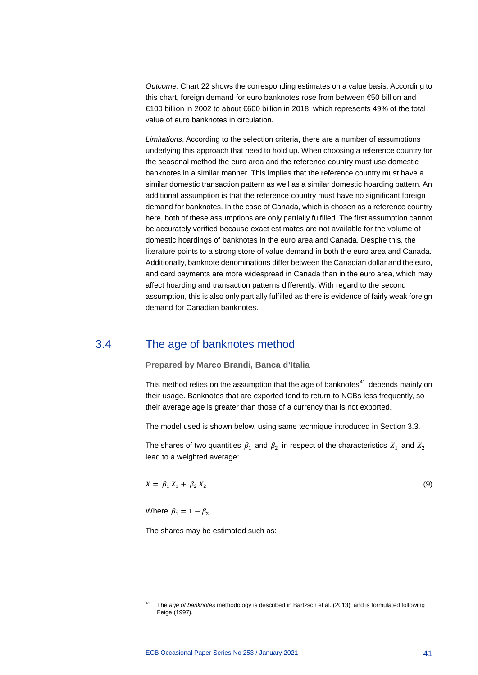*Outcome*. Chart 22 shows the corresponding estimates on a value basis. According to this chart, foreign demand for euro banknotes rose from between €50 billion and €100 billion in 2002 to about €600 billion in 2018, which represents 49% of the total value of euro banknotes in circulation.

*Limitations*. According to the selection criteria, there are a number of assumptions underlying this approach that need to hold up. When choosing a reference country for the seasonal method the euro area and the reference country must use domestic banknotes in a similar manner. This implies that the reference country must have a similar domestic transaction pattern as well as a similar domestic hoarding pattern. An additional assumption is that the reference country must have no significant foreign demand for banknotes. In the case of Canada, which is chosen as a reference country here, both of these assumptions are only partially fulfilled. The first assumption cannot be accurately verified because exact estimates are not available for the volume of domestic hoardings of banknotes in the euro area and Canada. Despite this, the literature points to a strong store of value demand in both the euro area and Canada. Additionally, banknote denominations differ between the Canadian dollar and the euro, and card payments are more widespread in Canada than in the euro area, which may affect hoarding and transaction patterns differently. With regard to the second assumption, this is also only partially fulfilled as there is evidence of fairly weak foreign demand for Canadian banknotes.

### 3.4 The age of banknotes method

<span id="page-41-0"></span>**Prepared by Marco Brandi, Banca d'Italia**

This method relies on the assumption that the age of banknotes<sup>[41](#page-41-1)</sup> depends mainly on their usage. Banknotes that are exported tend to return to NCBs less frequently, so their average age is greater than those of a currency that is not exported.

The model used is shown below, using same technique introduced in Section 3.3.

The shares of two quantities  $\beta_1$  and  $\beta_2$  in respect of the characteristics  $X_1$  and  $X_2$ lead to a weighted average:

$$
X = \beta_1 X_1 + \beta_2 X_2 \tag{9}
$$

Where  $\beta_1 = 1 - \beta_2$ 

<span id="page-41-1"></span>-

The shares may be estimated such as:

<sup>41</sup> The *age of banknotes* methodology is described in Bartzsch et al. (2013), and is formulated following Feige (1997).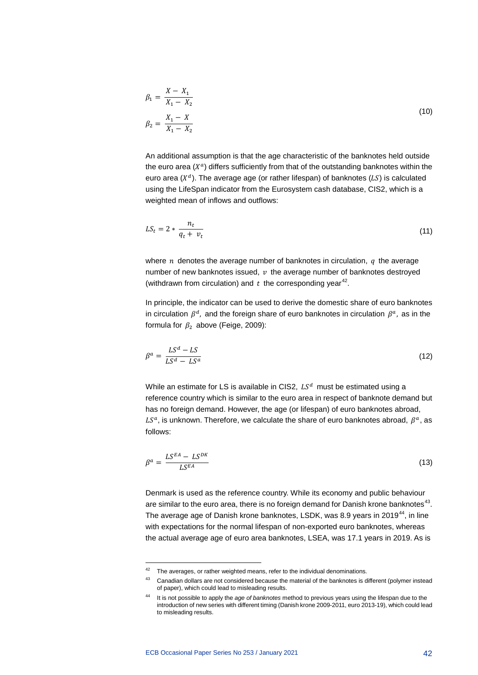$$
\beta_1 = \frac{X - X_1}{X_1 - X_2}
$$
  
\n
$$
\beta_2 = \frac{X_1 - X}{X_1 - X_2}
$$
\n(10)

An additional assumption is that the age characteristic of the banknotes held outside the euro area  $(X<sup>a</sup>)$  differs sufficiently from that of the outstanding banknotes within the euro area  $(X^d)$ . The average age (or rather lifespan) of banknotes (LS) is calculated using the LifeSpan indicator from the Eurosystem cash database, CIS2, which is a weighted mean of inflows and outflows:

$$
LS_t = 2 * \frac{n_t}{q_t + v_t} \tag{11}
$$

where *n* denotes the average number of banknotes in circulation,  $q$  the average number of new banknotes issued,  $v$  the average number of banknotes destroyed (withdrawn from circulation) and  $t$  the corresponding year<sup>42</sup>.

In principle, the indicator can be used to derive the domestic share of euro banknotes in circulation  $\beta^d$ , and the foreign share of euro banknotes in circulation  $\beta^a$ , as in the formula for  $\beta_2$  above (Feige, 2009):

$$
\beta^a = \frac{LS^d - LS}{LS^d - LS^a} \tag{12}
$$

While an estimate for LS is available in CIS2,  $LS<sup>d</sup>$  must be estimated using a reference country which is similar to the euro area in respect of banknote demand but has no foreign demand. However, the age (or lifespan) of euro banknotes abroad,  $LS<sup>a</sup>$ , is unknown. Therefore, we calculate the share of euro banknotes abroad,  $\beta<sup>a</sup>$ , as follows:

$$
\beta^a = \frac{LS^{EA} - LS^{DK}}{LS^{EA}}
$$
 (13)

Denmark is used as the reference country. While its economy and public behaviour are similar to the euro area, there is no foreign demand for Danish krone banknotes<sup>[43](#page-42-1)</sup>. The average age of Danish krone banknotes, LSDK, was 8.9 years in 2019<sup>[44](#page-42-2)</sup>, in line with expectations for the normal lifespan of non-exported euro banknotes, whereas the actual average age of euro area banknotes, LSEA, was 17.1 years in 2019. As is

<span id="page-42-1"></span><span id="page-42-0"></span> $42$  The averages, or rather weighted means, refer to the individual denominations.

<sup>&</sup>lt;sup>43</sup> Canadian dollars are not considered because the material of the banknotes is different (polymer instead of paper), which could lead to misleading results.

<span id="page-42-2"></span><sup>44</sup> It is not possible to apply the *age of banknotes* method to previous years using the lifespan due to the introduction of new series with different timing (Danish krone 2009-2011, euro 2013-19), which could lead to misleading results.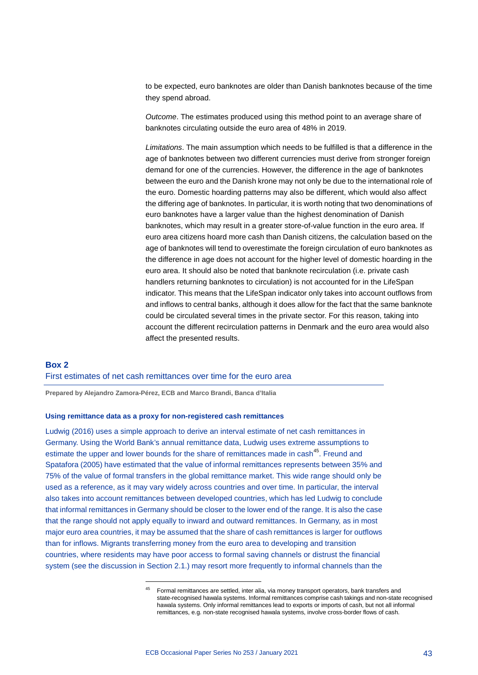to be expected, euro banknotes are older than Danish banknotes because of the time they spend abroad.

*Outcome*. The estimates produced using this method point to an average share of banknotes circulating outside the euro area of 48% in 2019.

*Limitations*. The main assumption which needs to be fulfilled is that a difference in the age of banknotes between two different currencies must derive from stronger foreign demand for one of the currencies. However, the difference in the age of banknotes between the euro and the Danish krone may not only be due to the international role of the euro. Domestic hoarding patterns may also be different, which would also affect the differing age of banknotes. In particular, it is worth noting that two denominations of euro banknotes have a larger value than the highest denomination of Danish banknotes, which may result in a greater store-of-value function in the euro area. If euro area citizens hoard more cash than Danish citizens, the calculation based on the age of banknotes will tend to overestimate the foreign circulation of euro banknotes as the difference in age does not account for the higher level of domestic hoarding in the euro area. It should also be noted that banknote recirculation (i.e. private cash handlers returning banknotes to circulation) is not accounted for in the LifeSpan indicator. This means that the LifeSpan indicator only takes into account outflows from and inflows to central banks, although it does allow for the fact that the same banknote could be circulated several times in the private sector. For this reason, taking into account the different recirculation patterns in Denmark and the euro area would also affect the presented results.

### <span id="page-43-0"></span>**Box 2** First estimates of net cash remittances over time for the euro area

**Prepared by Alejandro Zamora-Pérez, ECB and Marco Brandi, Banca d'Italia**

### **Using remittance data as a proxy for non-registered cash remittances**

<span id="page-43-1"></span>-

Ludwig (2016) uses a simple approach to derive an interval estimate of net cash remittances in Germany. Using the World Bank's annual remittance data, Ludwig uses extreme assumptions to estimate the upper and lower bounds for the share of remittances made in cash<sup>45</sup>. Freund and Spatafora (2005) have estimated that the value of informal remittances represents between 35% and 75% of the value of formal transfers in the global remittance market. This wide range should only be used as a reference, as it may vary widely across countries and over time. In particular, the interval also takes into account remittances between developed countries, which has led Ludwig to conclude that informal remittances in Germany should be closer to the lower end of the range. It is also the case that the range should not apply equally to inward and outward remittances. In Germany, as in most major euro area countries, it may be assumed that the share of cash remittances is larger for outflows than for inflows. Migrants transferring money from the euro area to developing and transition countries, where residents may have poor access to formal saving channels or distrust the financial system (see the discussion in Section 2.1.) may resort more frequently to informal channels than the

<sup>45</sup> Formal remittances are settled, inter alia, via money transport operators, bank transfers and state-recognised hawala systems. Informal remittances comprise cash takings and non-state recognised hawala systems. Only informal remittances lead to exports or imports of cash, but not all informal remittances, e.g. non-state recognised hawala systems, involve cross-border flows of cash.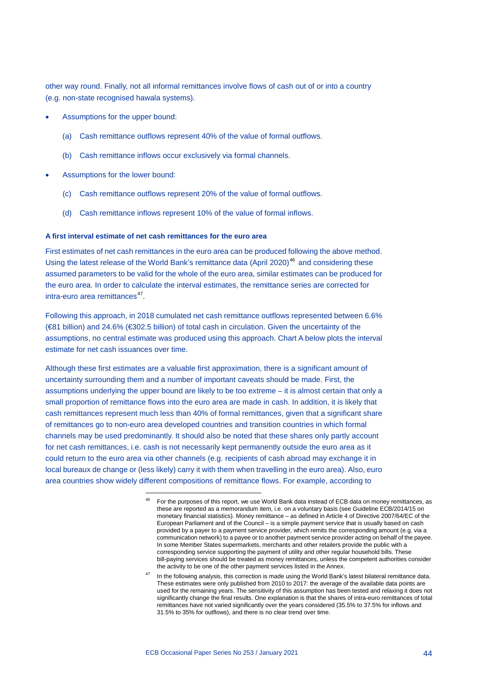other way round. Finally, not all informal remittances involve flows of cash out of or into a country (e.g. non-state recognised hawala systems).

- Assumptions for the upper bound:
	- (a) Cash remittance outflows represent 40% of the value of formal outflows.
	- (b) Cash remittance inflows occur exclusively via formal channels.
- Assumptions for the lower bound:
	- (c) Cash remittance outflows represent 20% of the value of formal outflows.
	- (d) Cash remittance inflows represent 10% of the value of formal inflows.

### **A first interval estimate of net cash remittances for the euro area**

-

First estimates of net cash remittances in the euro area can be produced following the above method. Using the latest release of the World Bank's remittance data (April 2020) [46](#page-44-0) and considering these assumed parameters to be valid for the whole of the euro area, similar estimates can be produced for the euro area. In order to calculate the interval estimates, the remittance series are corrected for intra-euro area remittances<sup>47</sup>.

Following this approach, in 2018 cumulated net cash remittance outflows represented between 6.6% (€81 billion) and 24.6% (€302.5 billion) of total cash in circulation. Given the uncertainty of the assumptions, no central estimate was produced using this approach. Chart A below plots the interval estimate for net cash issuances over time.

<span id="page-44-0"></span>Although these first estimates are a valuable first approximation, there is a significant amount of uncertainty surrounding them and a number of important caveats should be made. First, the assumptions underlying the upper bound are likely to be too extreme – it is almost certain that only a small proportion of remittance flows into the euro area are made in cash. In addition, it is likely that cash remittances represent much less than 40% of formal remittances, given that a significant share of remittances go to non-euro area developed countries and transition countries in which formal channels may be used predominantly. It should also be noted that these shares only partly account for net cash remittances, i.e. cash is not necessarily kept permanently outside the euro area as it could return to the euro area via other channels (e.g. recipients of cash abroad may exchange it in local bureaux de change or (less likely) carry it with them when travelling in the euro area). Also, euro area countries show widely different compositions of remittance flows. For example, according to

<span id="page-44-1"></span><sup>47</sup> In the following analysis, this correction is made using the World Bank's latest bilateral remittance data. These estimates were only published from 2010 to 2017: the average of the available data points are used for the remaining years. The sensitivity of this assumption has been tested and relaxing it does not significantly change the final results. One explanation is that the shares of intra-euro remittances of total remittances have not varied significantly over the years considered (35.5% to 37.5% for inflows and 31.5% to 35% for outflows), and there is no clear trend over time.

<sup>46</sup> For the purposes of this report, we use World Bank data instead of ECB data on money remittances, as these are reported as a memorandum item, i.e. on a voluntary basis (see Guideline ECB/2014/15 on monetary financial statistics). Money remittance – as defined in Article 4 of Directive 2007/64/EC of the European Parliament and of the Council – is a simple payment service that is usually based on cash provided by a payer to a payment service provider, which remits the corresponding amount (e.g. via a communication network) to a payee or to another payment service provider acting on behalf of the payee. In some Member States supermarkets, merchants and other retailers provide the public with a corresponding service supporting the payment of utility and other regular household bills. These bill-paying services should be treated as money remittances, unless the competent authorities consider the activity to be one of the other payment services listed in the Annex.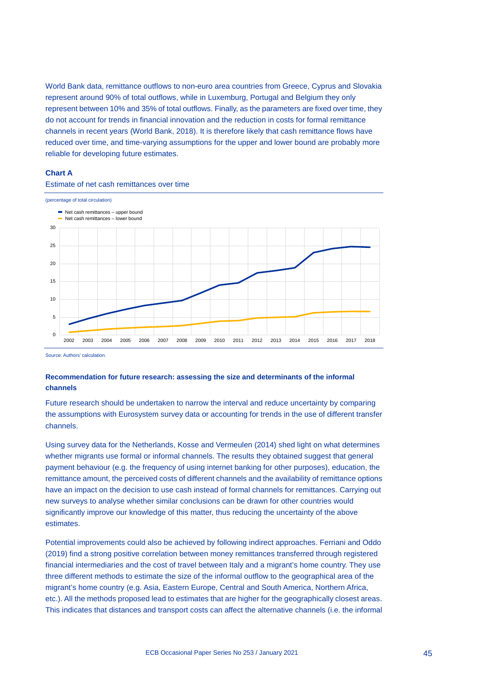World Bank data, remittance outflows to non-euro area countries from Greece, Cyprus and Slovakia represent around 90% of total outflows, while in Luxemburg, Portugal and Belgium they only represent between 10% and 35% of total outflows. Finally, as the parameters are fixed over time, they do not account for trends in financial innovation and the reduction in costs for formal remittance channels in recent years (World Bank, 2018). It is therefore likely that cash remittance flows have reduced over time, and time-varying assumptions for the upper and lower bound are probably more reliable for developing future estimates.

### **Chart A**



### Estimate of net cash remittances over time

Source: Authors' calculation.

### **Recommendation for future research: assessing the size and determinants of the informal channels**

Future research should be undertaken to narrow the interval and reduce uncertainty by comparing the assumptions with Eurosystem survey data or accounting for trends in the use of different transfer channels.

Using survey data for the Netherlands, Kosse and Vermeulen (2014) shed light on what determines whether migrants use formal or informal channels. The results they obtained suggest that general payment behaviour (e.g. the frequency of using internet banking for other purposes), education, the remittance amount, the perceived costs of different channels and the availability of remittance options have an impact on the decision to use cash instead of formal channels for remittances. Carrying out new surveys to analyse whether similar conclusions can be drawn for other countries would significantly improve our knowledge of this matter, thus reducing the uncertainty of the above estimates.

Potential improvements could also be achieved by following indirect approaches. Ferriani and Oddo (2019) find a strong positive correlation between money remittances transferred through registered financial intermediaries and the cost of travel between Italy and a migrant's home country. They use three different methods to estimate the size of the informal outflow to the geographical area of the migrant's home country (e.g. Asia, Eastern Europe, Central and South America, Northern Africa, etc.). All the methods proposed lead to estimates that are higher for the geographically closest areas. This indicates that distances and transport costs can affect the alternative channels (i.e. the informal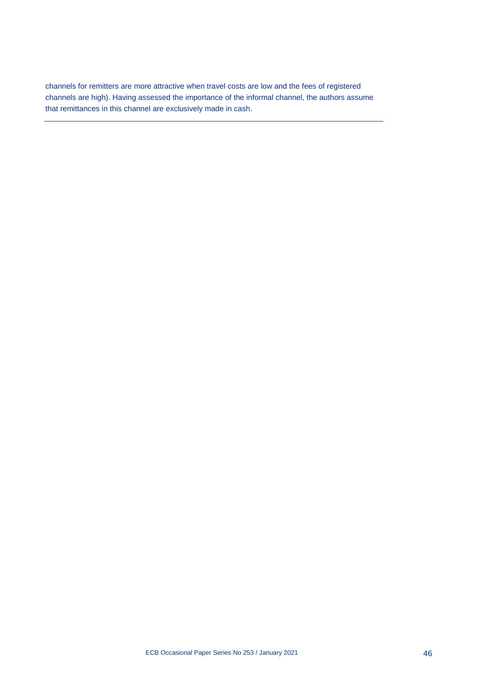channels for remitters are more attractive when travel costs are low and the fees of registered channels are high). Having assessed the importance of the informal channel, the authors assume that remittances in this channel are exclusively made in cash.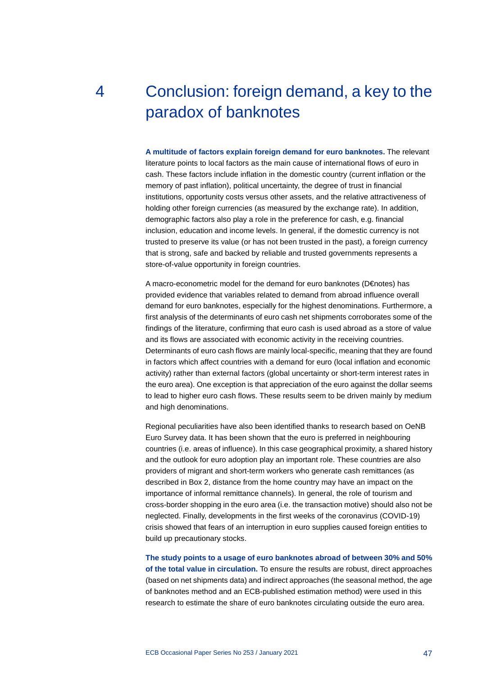# <span id="page-47-0"></span>4 Conclusion: foreign demand, a key to the paradox of banknotes

**A multitude of factors explain foreign demand for euro banknotes.** The relevant literature points to local factors as the main cause of international flows of euro in cash. These factors include inflation in the domestic country (current inflation or the memory of past inflation), political uncertainty, the degree of trust in financial institutions, opportunity costs versus other assets, and the relative attractiveness of holding other foreign currencies (as measured by the exchange rate). In addition, demographic factors also play a role in the preference for cash, e.g. financial inclusion, education and income levels. In general, if the domestic currency is not trusted to preserve its value (or has not been trusted in the past), a foreign currency that is strong, safe and backed by reliable and trusted governments represents a store-of-value opportunity in foreign countries.

A macro-econometric model for the demand for euro banknotes (D€notes) has provided evidence that variables related to demand from abroad influence overall demand for euro banknotes, especially for the highest denominations. Furthermore, a first analysis of the determinants of euro cash net shipments corroborates some of the findings of the literature, confirming that euro cash is used abroad as a store of value and its flows are associated with economic activity in the receiving countries. Determinants of euro cash flows are mainly local-specific, meaning that they are found in factors which affect countries with a demand for euro (local inflation and economic activity) rather than external factors (global uncertainty or short-term interest rates in the euro area). One exception is that appreciation of the euro against the dollar seems to lead to higher euro cash flows. These results seem to be driven mainly by medium and high denominations.

Regional peculiarities have also been identified thanks to research based on OeNB Euro Survey data. It has been shown that the euro is preferred in neighbouring countries (i.e. areas of influence). In this case geographical proximity, a shared history and the outlook for euro adoption play an important role. These countries are also providers of migrant and short-term workers who generate cash remittances (as described in Box 2, distance from the home country may have an impact on the importance of informal remittance channels). In general, the role of tourism and cross-border shopping in the euro area (i.e. the transaction motive) should also not be neglected. Finally, developments in the first weeks of the coronavirus (COVID-19) crisis showed that fears of an interruption in euro supplies caused foreign entities to build up precautionary stocks.

**The study points to a usage of euro banknotes abroad of between 30% and 50% of the total value in circulation.** To ensure the results are robust, direct approaches (based on net shipments data) and indirect approaches (the seasonal method, the age of banknotes method and an ECB-published estimation method) were used in this research to estimate the share of euro banknotes circulating outside the euro area.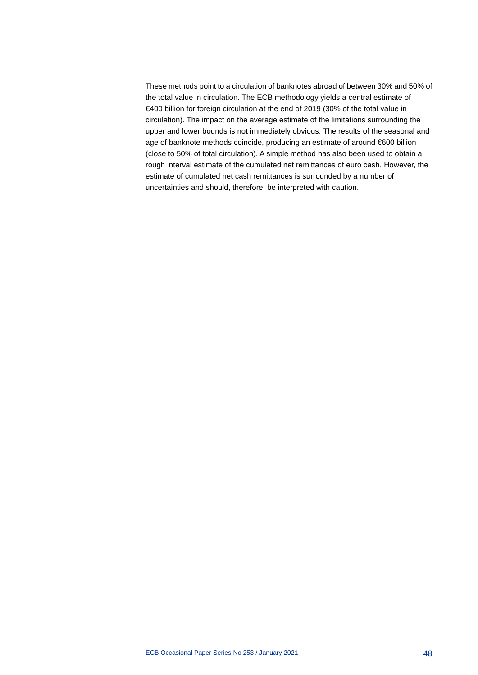These methods point to a circulation of banknotes abroad of between 30% and 50% of the total value in circulation. The ECB methodology yields a central estimate of €400 billion for foreign circulation at the end of 2019 (30% of the total value in circulation). The impact on the average estimate of the limitations surrounding the upper and lower bounds is not immediately obvious. The results of the seasonal and age of banknote methods coincide, producing an estimate of around €600 billion (close to 50% of total circulation). A simple method has also been used to obtain a rough interval estimate of the cumulated net remittances of euro cash. However, the estimate of cumulated net cash remittances is surrounded by a number of uncertainties and should, therefore, be interpreted with caution.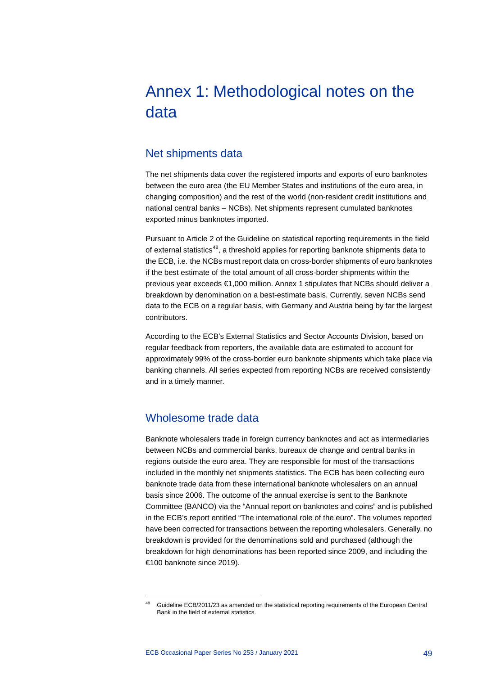## <span id="page-49-0"></span>Annex 1: Methodological notes on the data

### <span id="page-49-1"></span>Net shipments data

The net shipments data cover the registered imports and exports of euro banknotes between the euro area (the EU Member States and institutions of the euro area, in changing composition) and the rest of the world (non-resident credit institutions and national central banks – NCBs). Net shipments represent cumulated banknotes exported minus banknotes imported.

Pursuant to Article 2 of the Guideline on statistical reporting requirements in the field of external statistics<sup>[48](#page-49-3)</sup>, a threshold applies for reporting banknote shipments data to the ECB, i.e. the NCBs must report data on cross-border shipments of euro banknotes if the best estimate of the total amount of all cross-border shipments within the previous year exceeds €1,000 million. Annex 1 stipulates that NCBs should deliver a breakdown by denomination on a best-estimate basis. Currently, seven NCBs send data to the ECB on a regular basis, with Germany and Austria being by far the largest contributors.

According to the ECB's External Statistics and Sector Accounts Division, based on regular feedback from reporters, the available data are estimated to account for approximately 99% of the cross-border euro banknote shipments which take place via banking channels. All series expected from reporting NCBs are received consistently and in a timely manner.

### <span id="page-49-2"></span>Wholesome trade data

Banknote wholesalers trade in foreign currency banknotes and act as intermediaries between NCBs and commercial banks, bureaux de change and central banks in regions outside the euro area. They are responsible for most of the transactions included in the monthly net shipments statistics. The ECB has been collecting euro banknote trade data from these international banknote wholesalers on an annual basis since 2006. The outcome of the annual exercise is sent to the Banknote Committee (BANCO) via the "Annual report on banknotes and coins" and is published in the ECB's report entitled "The international role of the euro". The volumes reported have been corrected for transactions between the reporting wholesalers. Generally, no breakdown is provided for the denominations sold and purchased (although the breakdown for high denominations has been reported since 2009, and including the €100 banknote since 2019).

<span id="page-49-3"></span><sup>48</sup> Guideline ECB/2011/23 as amended on the statistical reporting requirements of the European Central Bank in the field of external statistics.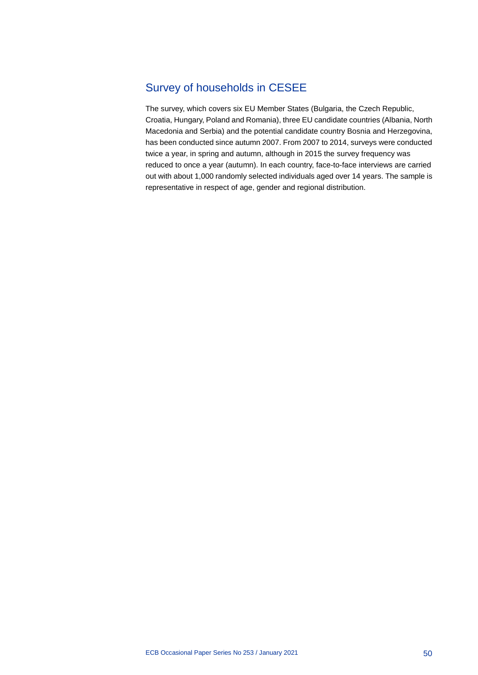## <span id="page-50-0"></span>Survey of households in CESEE

The survey, which covers six EU Member States (Bulgaria, the Czech Republic, Croatia, Hungary, Poland and Romania), three EU candidate countries (Albania, North Macedonia and Serbia) and the potential candidate country Bosnia and Herzegovina, has been conducted since autumn 2007. From 2007 to 2014, surveys were conducted twice a year, in spring and autumn, although in 2015 the survey frequency was reduced to once a year (autumn). In each country, face-to-face interviews are carried out with about 1,000 randomly selected individuals aged over 14 years. The sample is representative in respect of age, gender and regional distribution.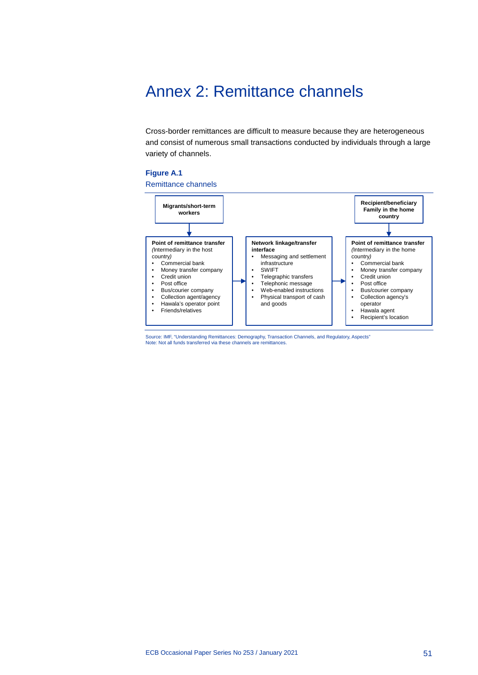## <span id="page-51-0"></span>Annex 2: Remittance channels

Cross-border remittances are difficult to measure because they are heterogeneous and consist of numerous small transactions conducted by individuals through a large variety of channels.

### **Figure A.1**



Source: IMF, "Understanding Remittances: Demography, Transaction Channels, and Regulatory, Aspects" Note: Not all funds transferred via these channels are remittances.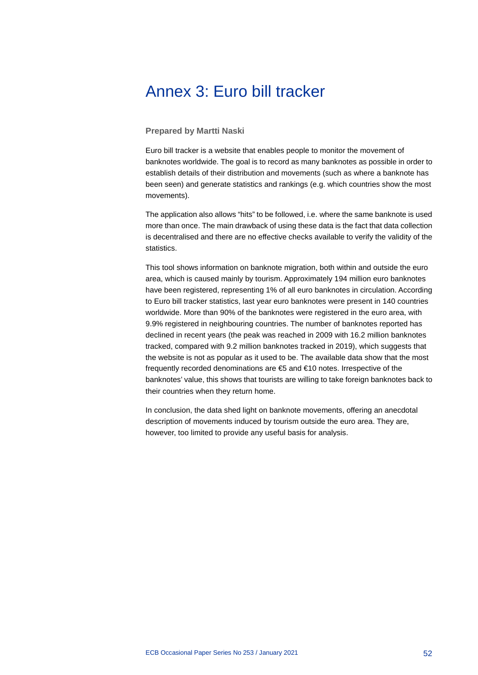## <span id="page-52-0"></span>Annex 3: Euro bill tracker

### **Prepared by Martti Naski**

Euro bill tracker is a website that enables people to monitor the movement of banknotes worldwide. The goal is to record as many banknotes as possible in order to establish details of their distribution and movements (such as where a banknote has been seen) and generate statistics and rankings (e.g. which countries show the most movements).

The application also allows "hits" to be followed, i.e. where the same banknote is used more than once. The main drawback of using these data is the fact that data collection is decentralised and there are no effective checks available to verify the validity of the statistics.

This tool shows information on banknote migration, both within and outside the euro area, which is caused mainly by tourism. Approximately 194 million euro banknotes have been registered, representing 1% of all euro banknotes in circulation. According to Euro bill tracker statistics, last year euro banknotes were present in 140 countries worldwide. More than 90% of the banknotes were registered in the euro area, with 9.9% registered in neighbouring countries. The number of banknotes reported has declined in recent years (the peak was reached in 2009 with 16.2 million banknotes tracked, compared with 9.2 million banknotes tracked in 2019), which suggests that the website is not as popular as it used to be. The available data show that the most frequently recorded denominations are €5 and €10 notes. Irrespective of the banknotes' value, this shows that tourists are willing to take foreign banknotes back to their countries when they return home.

In conclusion, the data shed light on banknote movements, offering an anecdotal description of movements induced by tourism outside the euro area. They are, however, too limited to provide any useful basis for analysis.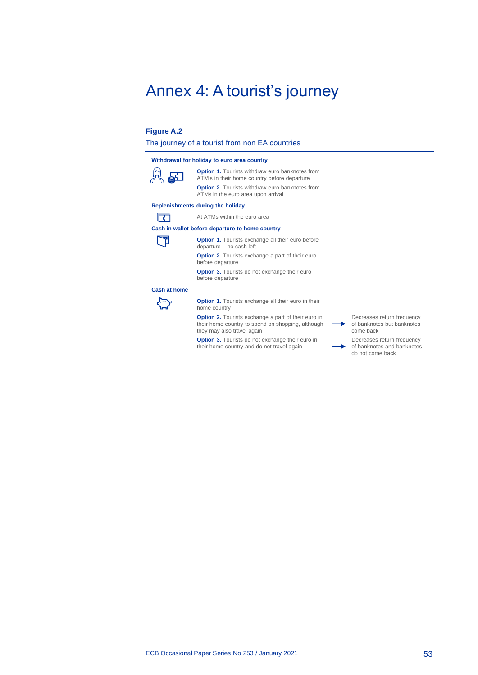## <span id="page-53-0"></span>Annex 4: A tourist's journey

### **Figure A.2**

The journey of a tourist from non EA countries

| Withdrawal for holiday to euro area country |                                                                   |  |  |  |  |
|---------------------------------------------|-------------------------------------------------------------------|--|--|--|--|
| <u>இது</u>                                  | <b>Option 1. Tourists withdraw</b><br>ATM's in their home country |  |  |  |  |
|                                             | <b>Option 2. Tourists withdraw</b>                                |  |  |  |  |

**Option 1.** Tourists withdraw euro banknotes from .<br>TM's in their home country before departure **ption 2.** Tourists withdraw euro banknotes from ATMs in the euro area upon arrival

### **Replenishments during the holiday**

At ATMs within the euro area

### **Cash in wallet before departure to home country**

同 **Option 1.** Tourists exchange all their euro before departure – no cash left

ारा

**Option 2.** Tourists exchange a part of their euro before departure

**Option 3.** Tourists do not exchange their euro before departure

#### **Cash at home**

**Option 1.** Tourists exchange all their euro in their home country

**Option 2.** Tourists exchange a part of their euro in their home country to spend on shopping, although they may also travel again

**Option 3.** Tourists do not exchange their euro in their home country and do not travel again

Decreases return frequency of banknotes but banknotes come back

b

Decreases return frequency of banknotes and banknotes do not come back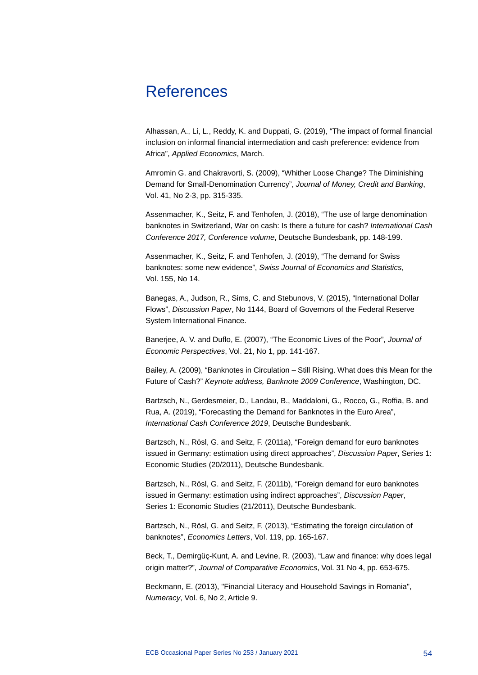## <span id="page-54-0"></span>References

Alhassan, A., Li, L., Reddy, K. and Duppati, G. (2019), "The impact of formal financial inclusion on informal financial intermediation and cash preference: evidence from Africa", *Applied Economics*, March.

Amromin G. and Chakravorti, S. (2009), "Whither Loose Change? The Diminishing Demand for Small-Denomination Currency", *Journal of Money, Credit and Banking*, Vol. 41, No 2-3, pp. 315-335.

Assenmacher, K., Seitz, F. and Tenhofen, J. (2018), "The use of large denomination banknotes in Switzerland, War on cash: Is there a future for cash? *International Cash Conference 2017, Conference volume*, Deutsche Bundesbank, pp. 148-199.

Assenmacher, K., Seitz, F. and Tenhofen, J. (2019), "The demand for Swiss banknotes: some new evidence", *Swiss Journal of Economics and Statistics*, Vol. 155, No 14.

Banegas, A., Judson, R., Sims, C. and Stebunovs, V. (2015), "International Dollar Flows", *Discussion Paper*, No 1144, Board of Governors of the Federal Reserve System International Finance.

Banerjee, A. V. and Duflo, E. (2007), "The Economic Lives of the Poor", *Journal of Economic Perspectives*, Vol. 21, No 1, pp. 141-167.

Bailey, A. (2009), "Banknotes in Circulation – Still Rising. What does this Mean for the Future of Cash?" *Keynote address, Banknote 2009 Conference*, Washington, DC.

Bartzsch, N., Gerdesmeier, D., Landau, B., Maddaloni, G., Rocco, G., Roffia, B. and Rua, A. (2019), "Forecasting the Demand for Banknotes in the Euro Area", *International Cash Conference 2019*, Deutsche Bundesbank.

Bartzsch, N., Rösl, G. and Seitz, F. (2011a), "Foreign demand for euro banknotes issued in Germany: estimation using direct approaches", *Discussion Paper*, Series 1: Economic Studies (20/2011), Deutsche Bundesbank.

Bartzsch, N., Rösl, G. and Seitz, F. (2011b), "Foreign demand for euro banknotes issued in Germany: estimation using indirect approaches", *Discussion Paper*, Series 1: Economic Studies (21/2011), Deutsche Bundesbank.

Bartzsch, N., Rösl, G. and Seitz, F. (2013), "Estimating the foreign circulation of banknotes", *Economics Letters*, Vol. 119, pp. 165-167.

Beck, T., Demirgüç-Kunt, A. and Levine, R. (2003), "Law and finance: why does legal origin matter?", *Journal of Comparative Economics*, Vol. 31 No 4, pp. 653-675.

Beckmann, E. (2013), "Financial Literacy and Household Savings in Romania", *Numeracy*, Vol. 6, No 2, Article 9.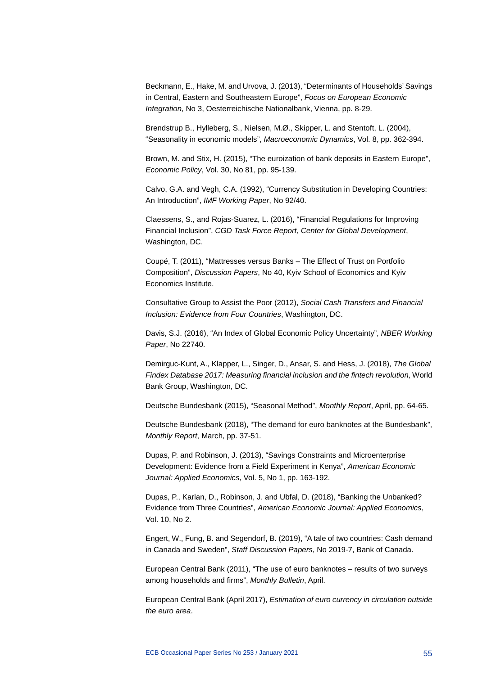Beckmann, E., Hake, M. and Urvova, J. (2013), "Determinants of Households' Savings in Central, Eastern and Southeastern Europe", *Focus on European Economic Integration*, No 3, Oesterreichische Nationalbank, Vienna, pp. 8-29.

Brendstrup B., Hylleberg, S., Nielsen, M.Ø., Skipper, L. and Stentoft, L. (2004), "Seasonality in economic models", *Macroeconomic Dynamics*, Vol. 8, pp. 362-394.

Brown, M. and Stix, H. (2015), "The euroization of bank deposits in Eastern Europe", *Economic Policy*, Vol. 30, No 81, pp. 95-139.

Calvo, G.A. and Vegh, C.A. (1992), "Currency Substitution in Developing Countries: An Introduction", *IMF Working Paper*, No 92/40.

Claessens, S., and Rojas-Suarez, L. (2016), "Financial Regulations for Improving Financial Inclusion", *CGD Task Force Report, Center for Global Development*, Washington, DC.

Coupé, T. (2011), "Mattresses versus Banks – The Effect of Trust on Portfolio Composition", *Discussion Papers*, No 40, Kyiv School of Economics and Kyiv Economics Institute.

Consultative Group to Assist the Poor (2012), *Social Cash Transfers and Financial Inclusion: Evidence from Four Countries*, Washington, DC.

Davis, S.J. (2016), "An Index of Global Economic Policy Uncertainty", *NBER Working Paper*, No 22740.

Demirguc-Kunt, A., Klapper, L., Singer, D., Ansar, S. and Hess, J. (2018), *The Global Findex Database 2017: Measuring financial inclusion and the fintech revolution*, World Bank Group, Washington, DC.

Deutsche Bundesbank (2015), "Seasonal Method", *Monthly Report*, April, pp. 64-65.

Deutsche Bundesbank (2018), "The demand for euro banknotes at the Bundesbank", *Monthly Report*, March, pp. 37-51.

Dupas, P. and Robinson, J. (2013), "Savings Constraints and Microenterprise Development: Evidence from a Field Experiment in Kenya", *American Economic Journal: Applied Economics*, Vol. 5, No 1, pp. 163-192.

Dupas, P., Karlan, D., Robinson, J. and Ubfal, D. (2018), "Banking the Unbanked? Evidence from Three Countries", *American Economic Journal: Applied Economics*, Vol. 10, No 2.

Engert, W., Fung, B. and Segendorf, B. (2019), "A tale of two countries: Cash demand in Canada and Sweden", *Staff Discussion Papers*, No 2019-7, Bank of Canada.

European Central Bank (2011), "The use of euro banknotes – results of two surveys among households and firms", *Monthly Bulletin*, April.

European Central Bank (April 2017), *Estimation of euro currency in circulation outside the euro area*.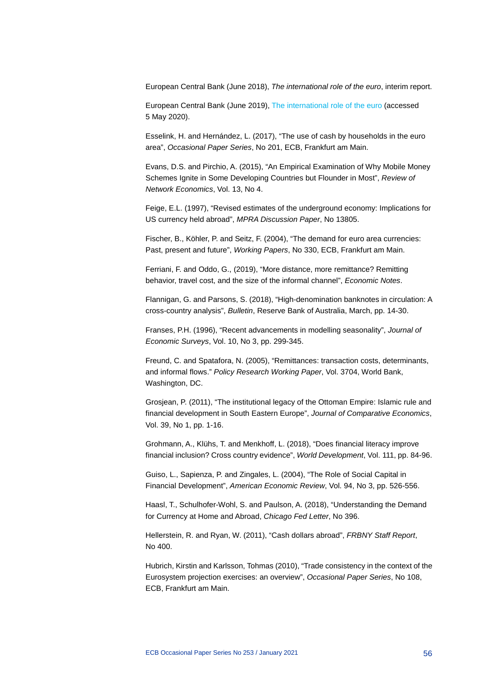European Central Bank (June 2018), *The international role of the euro*, interim report.

European Central Bank (June 2019)[, The international role of the euro](https://www.ecb.europa.eu/pub/ire/html/ecb.ire201906%7Ef0da2b823e.en.html) (accessed 5 May 2020).

Esselink, H. and Hernández, L. (2017), "The use of cash by households in the euro area", *Occasional Paper Series*, No 201, ECB, Frankfurt am Main.

Evans, D.S. and Pirchio, A. (2015), "An Empirical Examination of Why Mobile Money Schemes Ignite in Some Developing Countries but Flounder in Most", *Review of Network Economics*, Vol. 13, No 4.

Feige, E.L. (1997), "Revised estimates of the underground economy: Implications for US currency held abroad", *MPRA Discussion Paper*, No 13805.

Fischer, B., Köhler, P. and Seitz, F. (2004), "The demand for euro area currencies: Past, present and future", *Working Papers*, No 330, ECB, Frankfurt am Main.

Ferriani, F. and Oddo, G., (2019), "More distance, more remittance? Remitting behavior, travel cost, and the size of the informal channel", *Economic Notes*.

Flannigan, G. and Parsons, S. (2018), "High-denomination banknotes in circulation: A cross-country analysis", *Bulletin*, Reserve Bank of Australia, March, pp. 14-30.

Franses, P.H. (1996), "Recent advancements in modelling seasonality", *Journal of Economic Surveys*, Vol. 10, No 3, pp. 299-345.

Freund, C. and Spatafora, N. (2005), "Remittances: transaction costs, determinants, and informal flows." *Policy Research Working Paper*, Vol. 3704, World Bank, Washington, DC.

Grosjean, P. (2011), "The institutional legacy of the Ottoman Empire: Islamic rule and financial development in South Eastern Europe", *Journal of Comparative Economics*, Vol. 39, No 1, pp. 1-16.

Grohmann, A., Klühs, T. and Menkhoff, L. (2018), "Does financial literacy improve financial inclusion? Cross country evidence", *World Development*, Vol. 111, pp. 84-96.

Guiso, L., Sapienza, P. and Zingales, L. (2004), "The Role of Social Capital in Financial Development", *American Economic Review*, Vol. 94, No 3, pp. 526-556.

Haasl, T., Schulhofer-Wohl, S. and Paulson, A. (2018), "Understanding the Demand for Currency at Home and Abroad, *Chicago Fed Letter*, No 396.

Hellerstein, R. and Ryan, W. (2011), "Cash dollars abroad", *FRBNY Staff Report*, No 400.

Hubrich, Kirstin and Karlsson, Tohmas (2010), "Trade consistency in the context of the Eurosystem projection exercises: an overview", *Occasional Paper Series*, No 108, ECB, Frankfurt am Main.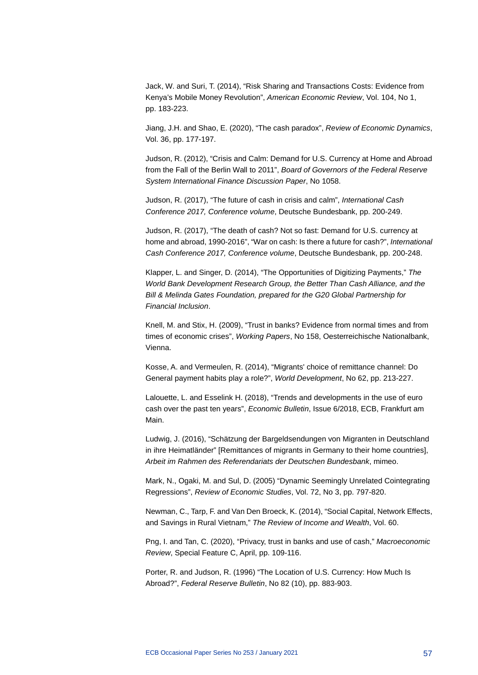Jack, W. and Suri, T. (2014), "Risk Sharing and Transactions Costs: Evidence from Kenya's Mobile Money Revolution", *American Economic Review*, Vol. 104, No 1, pp. 183-223.

Jiang, J.H. and Shao, E. (2020), "The cash paradox", *Review of Economic Dynamics*, Vol. 36, pp. 177-197.

Judson, R. (2012), "Crisis and Calm: Demand for U.S. Currency at Home and Abroad from the Fall of the Berlin Wall to 2011", *Board of Governors of the Federal Reserve System International Finance Discussion Paper*, No 1058.

Judson, R. (2017), "The future of cash in crisis and calm", *International Cash Conference 2017, Conference volume*, Deutsche Bundesbank, pp. 200-249.

Judson, R. (2017), "The death of cash? Not so fast: Demand for U.S. currency at home and abroad, 1990-2016", "War on cash: Is there a future for cash?", *International Cash Conference 2017, Conference volume*, Deutsche Bundesbank, pp. 200-248.

Klapper, L. and Singer, D. (2014), "The Opportunities of Digitizing Payments," *The World Bank Development Research Group, the Better Than Cash Alliance, and the Bill & Melinda Gates Foundation, prepared for the G20 Global Partnership for Financial Inclusion*.

Knell, M. and Stix, H. (2009), "Trust in banks? Evidence from normal times and from times of economic crises", *Working Papers*, No 158, Oesterreichische Nationalbank, Vienna.

Kosse, A. and Vermeulen, R. (2014), "Migrants' choice of remittance channel: Do General payment habits play a role?", *World Development*, No 62, pp. 213-227.

Lalouette, L. and Esselink H. (2018), "Trends and developments in the use of euro cash over the past ten years", *Economic Bulletin*, Issue 6/2018, ECB, Frankfurt am Main.

Ludwig, J. (2016), "Schätzung der Bargeldsendungen von Migranten in Deutschland in ihre Heimatländer" [Remittances of migrants in Germany to their home countries], *Arbeit im Rahmen des Referendariats der Deutschen Bundesbank*, mimeo.

Mark, N., Ogaki, M. and Sul, D. (2005) "Dynamic Seemingly Unrelated Cointegrating Regressions", *Review of Economic Studies*, Vol. 72, No 3, pp. 797-820.

Newman, C., Tarp, F. and Van Den Broeck, K. (2014), "Social Capital, Network Effects, and Savings in Rural Vietnam," *The Review of Income and Wealth*, Vol. 60.

Png, I. and Tan, C. (2020), "Privacy, trust in banks and use of cash," *Macroeconomic Review*, Special Feature C, April, pp. 109-116.

Porter, R. and Judson, R. (1996) "The Location of U.S. Currency: How Much Is Abroad?", *Federal Reserve Bulletin*, No 82 (10), pp. 883-903.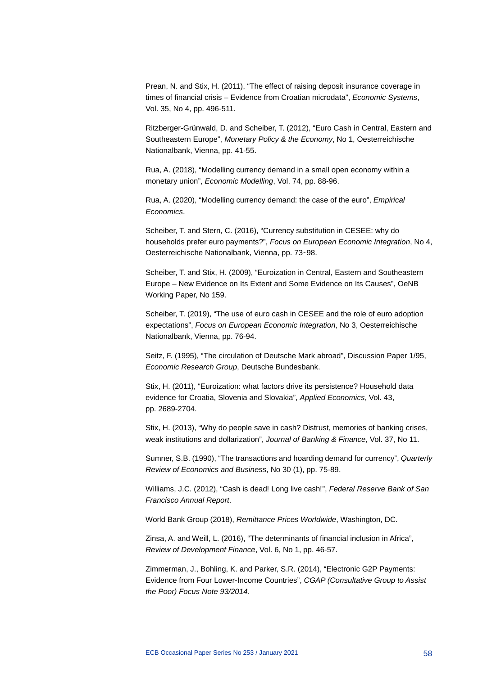Prean, N. and Stix, H. (2011), "The effect of raising deposit insurance coverage in times of financial crisis – Evidence from Croatian microdata", *Economic Systems*, Vol. 35, No 4, pp. 496-511.

Ritzberger-Grünwald, D. and Scheiber, T. (2012), "Euro Cash in Central, Eastern and Southeastern Europe", *Monetary Policy & the Economy*, No 1, Oesterreichische Nationalbank, Vienna, pp. 41-55.

Rua, A. (2018), "Modelling currency demand in a small open economy within a monetary union", *Economic Modelling*, Vol. 74, pp. 88-96.

Rua, A. (2020), "Modelling currency demand: the case of the euro", *Empirical Economics*.

Scheiber, T. and Stern, C. (2016), "Currency substitution in CESEE: why do households prefer euro payments?", *Focus on European Economic Integration*, No 4, Oesterreichische Nationalbank, Vienna, pp. 73‑98.

Scheiber, T. and Stix, H. (2009), "Euroization in Central, Eastern and Southeastern Europe – New Evidence on Its Extent and Some Evidence on Its Causes", OeNB Working Paper, No 159.

Scheiber, T. (2019), "The use of euro cash in CESEE and the role of euro adoption expectations", *Focus on European Economic Integration*, No 3, Oesterreichische Nationalbank, Vienna, pp. 76-94.

Seitz, F. (1995), "The circulation of Deutsche Mark abroad", Discussion Paper 1/95, *Economic Research Group*, Deutsche Bundesbank.

Stix, H. (2011), "Euroization: what factors drive its persistence? Household data evidence for Croatia, Slovenia and Slovakia", *Applied Economics*, Vol. 43, pp. 2689-2704.

Stix, H. (2013), "Why do people save in cash? Distrust, memories of banking crises, weak institutions and dollarization", *Journal of Banking & Finance*, Vol. 37, No 11.

Sumner, S.B. (1990), "The transactions and hoarding demand for currency", *Quarterly Review of Economics and Business*, No 30 (1), pp. 75-89.

Williams, J.C. (2012), "Cash is dead! Long live cash!", *Federal Reserve Bank of San Francisco Annual Report*.

World Bank Group (2018), *Remittance Prices Worldwide*, Washington, DC.

Zinsa, A. and Weill, L. (2016), "The determinants of financial inclusion in Africa", *Review of Development Finance*, Vol. 6, No 1, pp. 46-57.

Zimmerman, J., Bohling, K. and Parker, S.R. (2014), "Electronic G2P Payments: Evidence from Four Lower-Income Countries", *CGAP (Consultative Group to Assist the Poor) Focus Note 93/2014*.